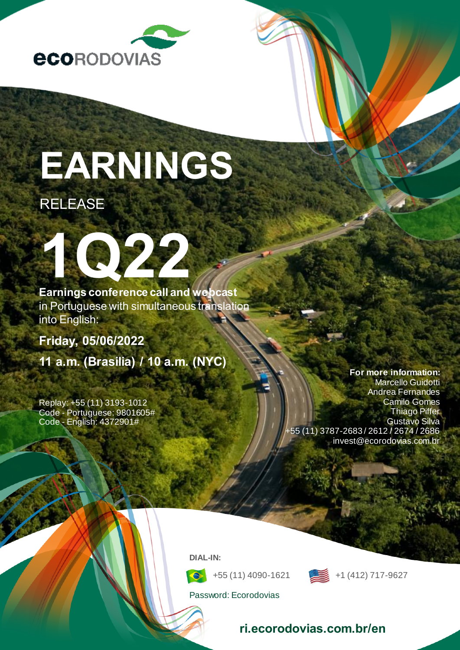

# **EARNINGS**

# RELEASE

**Earnings conference call and webcast** in Portuguese with simultaneous translation into English:

**[Friday, 05/06/2022](http://www.ecorodovias.com.br/ri)**

**1Q22**

**11 a.m. (Brasilia) / 10 a.m. (NYC)**

Replay: +55 (11) 3193-1012 Code - Portuguese: 9801605# Code - English: 4372901#

**For more information:** Marcello Guidotti Andrea Fernandes Camilo Gomes Thiago Piffer Gustavo Silva +55 (11) 3787-2683 / 2612 / 2674 / 2686 invest@ecorodovias.com.br

**DIAL-IN:**



+55 (11) 4090-1621 +1 (412) 717-9627

Password: Ecorodovias

## **ri.ecorodovias.com.br/en**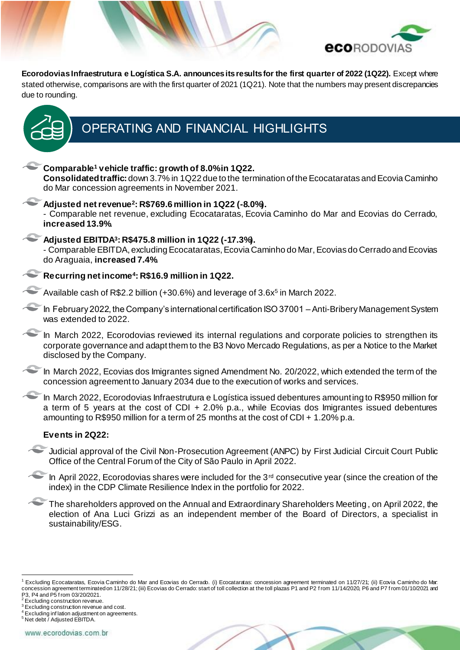

**Ecorodovias Infraestrutura e Logística S.A. announces its results for the first quarter of 2022 (1Q22).** Except where stated otherwise, comparisons are with the first quarter of 2021 (1Q21). Note that the numbers may present discrepancies due to rounding.



# OPERATING AND FINANCIAL HIGHLIGHTS

**Comparable<sup>1</sup> vehicle traffic: growth of 8.0% in 1Q22. Consolidated traffic:**down 3.7% in 1Q22 due to the termination of the Ecocataratas and Ecovia Caminho do Mar concession agreements in November 2021. **Adjusted net revenue<sup>2</sup> : R\$769.6 million in 1Q22 (-8.0%).** - Comparable net revenue, excluding Ecocataratas, Ecovia Caminho do Mar and Ecovias do Cerrado, **increased 13.9%**. **Adjusted EBITDA<sup>3</sup> : R\$475.8 million in 1Q22 (-17.3%).** - Comparable EBITDA, excluding Ecocataratas, Ecovia Caminho do Mar, Ecovias do Cerrado and Ecovias do Araguaia, **increased 7.4%**. **Recurring net income<sup>4</sup> : R\$16.9 million in 1Q22.** Available cash of R\$2.2 billion (+30.6%) and leverage of 3.6x<sup>5</sup> in March 2022. In February 2022, the Company's international certification ISO 37001 - Anti-Bribery Management System was extended to 2022. In March 2022, Ecorodovias reviewed its internal regulations and corporate policies to strengthen its corporate governance and adapt them to the B3 Novo Mercado Regulations, as per a Notice to the Market disclosed by the Company. In March 2022, Ecovias dos Imigrantes signed Amendment No. 20/2022, which extended the term of the concession agreement to January 2034 due to the execution of works and services. In March 2022, Ecorodovias Infraestrutura e Logística issued debentures amounting to R\$950 million for a term of 5 years at the cost of CDI + 2.0% p.a., while Ecovias dos Imigrantes issued debentures amounting to R\$950 million for a term of 25 months at the cost of CDI + 1.20% p.a. **Events in 2Q22:** Judicial approval of the Civil Non-Prosecution Agreement (ANPC) by First Judicial Circuit Court Public Office of the Central Forum of the City of São Paulo in April 2022.  $\sim$  In April 2022, Ecorodovias shares were included for the 3<sup>rd</sup> consecutive year (since the creation of the index) in the CDP Climate Resilience Index in the portfolio for 2022. The shareholders approved on the Annual and Extraordinary Shareholders Meeting, on April 2022, the election of Ana Luci Grizzi as an independent member of the Board of Directors, a specialist in sustainability/ESG.



<sup>&</sup>lt;sup>1</sup> Excluding Ecocataratas, Ecovia Caminho do Mar and Ecovias do Cerrado. (i) Ecocataratas: concession agreement terminated on 11/27/21; (ii) Ecovia Caminho do Mar: concession agreement terminated on 11/28/21; (iii) Ecovias do Cerrado: start of toll collection at the toll plazas P1 and P2 f rom 11/14/2020, P6 and P7 f rom 01/10/2021 and P3, P4 and P5 f rom 03/20/2021.

<sup>&</sup>lt;sup>2</sup> Excluding construction revenue.

<sup>&</sup>lt;sup>3</sup> Excluding construction revenue and cost.

<sup>4</sup> Excluding inf lation adjustment on agreements.

<sup>5</sup> Net debt / Adjusted EBITDA.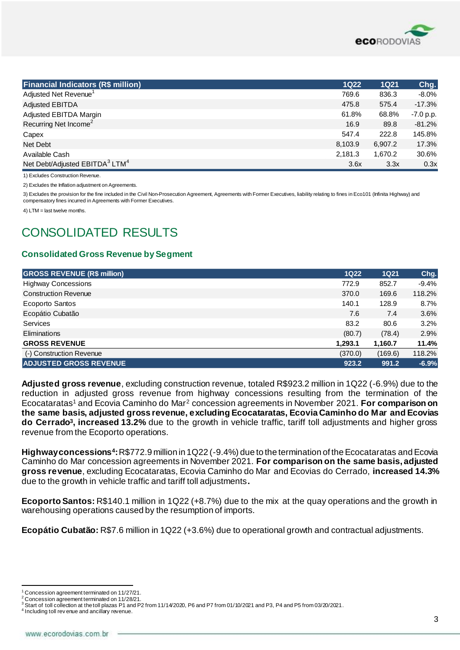

| <b>Financial Indicators (R\$ million)</b>              | <b>1Q22</b> | <b>1Q21</b> | Chg.        |
|--------------------------------------------------------|-------------|-------------|-------------|
| Adjusted Net Revenue <sup>1</sup>                      | 769.6       | 836.3       | $-8.0\%$    |
| <b>Adjusted EBITDA</b>                                 | 475.8       | 575.4       | $-17.3%$    |
| Adjusted EBITDA Margin                                 | 61.8%       | 68.8%       | $-7.0 p.p.$ |
| Recurring Net Income <sup>2</sup>                      | 16.9        | 89.8        | $-81.2%$    |
| Capex                                                  | 547.4       | 222.8       | 145.8%      |
| Net Debt                                               | 8,103.9     | 6,907.2     | 17.3%       |
| Available Cash                                         | 2,181.3     | 1.670.2     | 30.6%       |
| Net Debt/Adjusted EBITDA <sup>3</sup> LTM <sup>4</sup> | 3.6x        | 3.3x        | 0.3x        |

1) Excludes Construction Revenue.

2) Excludes the Inflation adjustment on Agreements.

3) Excludes the provision for the fine included in the Civil Non-Prosecution Agreement, Agreements with Former Executives, liability relating to fines in Eco101 (Infinita Highway) and compensatory fines incurred in Agreements with Former Executives.

4) LTM = last twelve months.

# CONSOLIDATED RESULTS

#### **Consolidated Gross Revenue by Segment**

| <b>GROSS REVENUE (R\$ million)</b> | $1Q22$  | <b>1Q21</b> | Chg.    |
|------------------------------------|---------|-------------|---------|
| <b>Highway Concessions</b>         | 772.9   | 852.7       | $-9.4%$ |
| <b>Construction Revenue</b>        | 370.0   | 169.6       | 118.2%  |
| Ecoporto Santos                    | 140.1   | 128.9       | 8.7%    |
| Ecopátio Cubatão                   | 7.6     | 7.4         | 3.6%    |
| <b>Services</b>                    | 83.2    | 80.6        | 3.2%    |
| <b>Eliminations</b>                | (80.7)  | (78.4)      | 2.9%    |
| <b>GROSS REVENUE</b>               | 1.293.1 | 1,160.7     | 11.4%   |
| (-) Construction Revenue           | (370.0) | (169.6)     | 118.2%  |
| <b>ADJUSTED GROSS REVENUE</b>      | 923.2   | 991.2       | $-6.9%$ |

**Adjusted gross revenue**, excluding construction revenue, totaled R\$923.2 million in 1Q22 (-6.9%) due to the reduction in adjusted gross revenue from highway concessions resulting from the termination of the Ecocataratas<sup>1</sup> and Ecovia Caminho do Mar<sup>2</sup> concession agreements in November 2021. **For comparison on the same basis, adjusted gross revenue, excluding Ecocataratas, Ecovia Caminho do Mar and Ecovias do Cerrado<sup>3</sup> , increased 13.2%** due to the growth in vehicle traffic, tariff toll adjustments and higher gross revenue from the Ecoporto operations.

**Highway concessions<sup>4</sup> :**R\$772.9 million in 1Q22 (-9.4%) due to the termination of the Ecocataratas and Ecovia Caminho do Mar concession agreements in November 2021. **For comparison on the same basis, adjusted gross revenue**, excluding Ecocataratas, Ecovia Caminho do Mar and Ecovias do Cerrado, **increased 14.3%** due to the growth in vehicle traffic and tariff toll adjustments**.**

**Ecoporto Santos:** R\$140.1 million in 1Q22 (+8.7%) due to the mix at the quay operations and the growth in warehousing operations caused by the resumption of imports.

**Ecopátio Cubatão:** R\$7.6 million in 1Q22 (+3.6%) due to operational growth and contractual adjustments.

<sup>&</sup>lt;sup>1</sup> Concession agreement terminated on 11/27/21.

<sup>&</sup>lt;sup>2</sup> Concession agreement terminated on 11/28/21.

 $3$  Start of toll collection at the toll plazas P1 and P2 from 11/14/2020, P6 and P7 from 01/10/2021 and P3, P4 and P5 from 03/20/2021.

<sup>&</sup>lt;sup>4</sup> Including toll rev enue and ancillary revenue.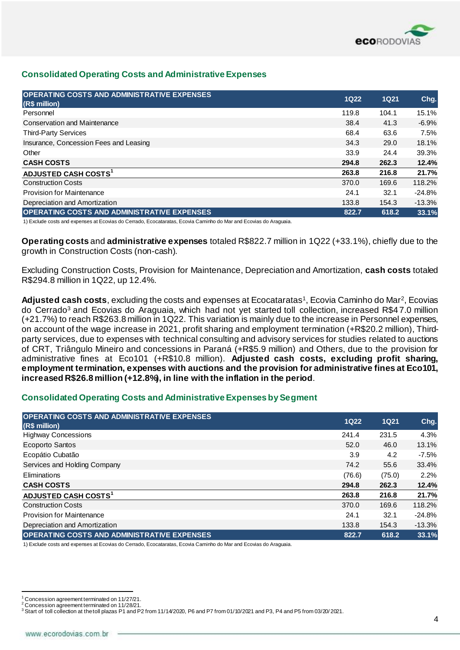

#### **Consolidated Operating Costs and Administrative Expenses**

| <b>OPERATING COSTS AND ADMINISTRATIVE EXPENSES</b><br>(R\$ million) | <b>1Q22</b> | <b>1Q21</b> | Chg.     |
|---------------------------------------------------------------------|-------------|-------------|----------|
| Personnel                                                           | 119.8       | 104.1       | 15.1%    |
| <b>Conservation and Maintenance</b>                                 | 38.4        | 41.3        | $-6.9%$  |
| <b>Third-Party Services</b>                                         | 68.4        | 63.6        | 7.5%     |
| Insurance, Concession Fees and Leasing                              | 34.3        | 29.0        | 18.1%    |
| Other                                                               | 33.9        | 24.4        | 39.3%    |
| <b>CASH COSTS</b>                                                   | 294.8       | 262.3       | 12.4%    |
| ADJUSTED CASH COSTS <sup>1</sup>                                    | 263.8       | 216.8       | 21.7%    |
| <b>Construction Costs</b>                                           | 370.0       | 169.6       | 118.2%   |
| <b>Provision for Maintenance</b>                                    | 24.1        | 32.1        | $-24.8%$ |
| Depreciation and Amortization                                       | 133.8       | 154.3       | $-13.3%$ |
| <b>OPERATING COSTS AND ADMINISTRATIVE EXPENSES</b>                  | 822.7       | 618.2       | 33.1%    |

1) Exclude costs and expenses at Ecovias do Cerrado, Ecocataratas, Ecovia Caminho do Mar and Ecovias do Araguaia.

**Operating costs** and **administrative expenses** totaled R\$822.7 million in 1Q22 (+33.1%), chiefly due to the growth in Construction Costs (non-cash).

Excluding Construction Costs, Provision for Maintenance, Depreciation and Amortization, **cash costs** totaled R\$294.8 million in 1Q22, up 12.4%.

Adjusted cash costs, excluding the costs and expenses at Ecocataratas<sup>1</sup>, Ecovia Caminho do Mar<sup>2</sup>, Ecovias do Cerrado<sup>3</sup> and Ecovias do Araguaia, which had not yet started toll collection, increased R\$47.0 million (+21.7%) to reach R\$263.8 million in 1Q22. This variation is mainly due to the increase in Personnel expenses, on account of the wage increase in 2021, profit sharing and employment termination (+R\$20.2 million), Thirdparty services, due to expenses with technical consulting and advisory services for studies related to auctions of CRT, Triângulo Mineiro and concessions in Paraná (+R\$5.9 million) and Others, due to the provision for administrative fines at Eco101 (+R\$10.8 million). **Adjusted cash costs, excluding profit sharing, employment termination, expenses with auctions and the provision for administrative fines at Eco101, increased R\$26.8 million (+12.8%), in line with the inflation in the period**.

#### **Consolidated Operating Costs and Administrative Expenses by Segment**

| <b>OPERATING COSTS AND ADMINISTRATIVE EXPENSES</b><br>(R\$ million) | <b>1Q22</b> | <b>1Q21</b> | Chg.     |
|---------------------------------------------------------------------|-------------|-------------|----------|
| <b>Highway Concessions</b>                                          | 241.4       | 231.5       | 4.3%     |
| <b>Ecoporto Santos</b>                                              | 52.0        | 46.0        | 13.1%    |
| Ecopátio Cubatão                                                    | 3.9         | 4.2         | $-7.5%$  |
| Services and Holding Company                                        | 74.2        | 55.6        | 33.4%    |
| Eliminations                                                        | (76.6)      | (75.0)      | 2.2%     |
| <b>CASH COSTS</b>                                                   | 294.8       | 262.3       | 12.4%    |
| ADJUSTED CASH COSTS <sup>1</sup>                                    | 263.8       | 216.8       | 21.7%    |
| <b>Construction Costs</b>                                           | 370.0       | 169.6       | 118.2%   |
| <b>Provision for Maintenance</b>                                    | 24.1        | 32.1        | $-24.8%$ |
| Depreciation and Amortization                                       | 133.8       | 154.3       | $-13.3%$ |
| <b>OPERATING COSTS AND ADMINISTRATIVE EXPENSES</b>                  | 822.7       | 618.2       | 33.1%    |

1) Exclude costs and expenses at Ecovias do Cerrado, Ecocataratas, Ecovia Caminho do Mar and Ecovias do Araguaia.

 $1$  Concession agreement terminated on 11/27/21.

<sup>2</sup> Concession agreement terminated on 11/28/21.

 $3$  Start of toll collection at the toll plazas P1 and P2 from 11/14/2020, P6 and P7 from 01/10/2021 and P3, P4 and P5 from 03/20/2021.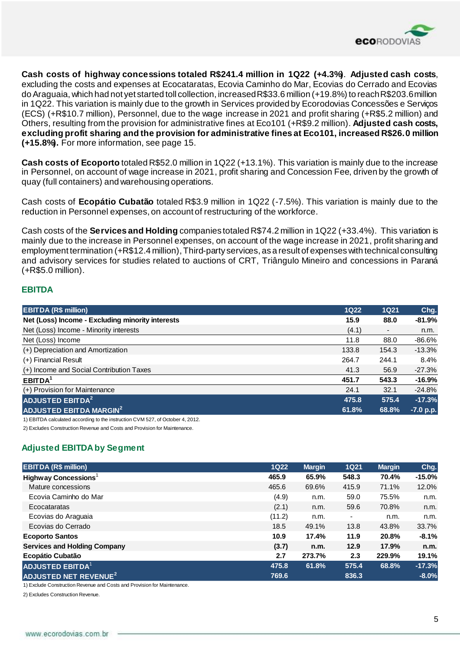

**Cash costs of highway concessions totaled R\$241.4 million in 1Q22 (+4.3%)**. **Adjusted cash costs**, excluding the costs and expenses at Ecocataratas, Ecovia Caminho do Mar, Ecovias do Cerrado and Ecovias do Araguaia, which had not yet started toll collection, increased R\$33.6 million (+19.8%) to reach R\$203.6 million in 1Q22. This variation is mainly due to the growth in Services provided by Ecorodovias Concessões e Serviços (ECS) (+R\$10.7 million), Personnel, due to the wage increase in 2021 and profit sharing (+R\$5.2 million) and Others, resulting from the provision for administrative fines at Eco101 (+R\$9.2 million). **Adjusted cash costs, excluding profit sharing and the provision for administrative fines at Eco101, increased R\$26.0 million (+15.8%).** For more information, see page 15.

**Cash costs of Ecoporto** totaled R\$52.0 million in 1Q22 (+13.1%). This variation is mainly due to the increase in Personnel, on account of wage increase in 2021, profit sharing and Concession Fee, driven by the growth of quay (full containers) and warehousing operations.

Cash costs of **Ecopátio Cubatão** totaled R\$3.9 million in 1Q22 (-7.5%). This variation is mainly due to the reduction in Personnel expenses, on account of restructuring of the workforce.

Cash costs of the **Services and Holding** companies totaled R\$74.2 million in 1Q22 (+33.4%). This variation is mainly due to the increase in Personnel expenses, on account of the wage increase in 2021, profit sharing and employment termination (+R\$12.4 million), Third-party services, as a result of expenses with technical consulting and advisory services for studies related to auctions of CRT, Triângulo Mineiro and concessions in Paraná (+R\$5.0 million).

#### **EBITDA**

| <b>EBITDA (R\$ million)</b>                      | <b>1Q22</b> | <b>1Q21</b>              | Chg.      |
|--------------------------------------------------|-------------|--------------------------|-----------|
| Net (Loss) Income - Excluding minority interests | 15.9        | 88.0                     | $-81.9%$  |
| Net (Loss) Income - Minority interests           | (4.1)       | $\overline{\phantom{a}}$ | n.m.      |
| Net (Loss) Income                                | 11.8        | 88.0                     | $-86.6%$  |
| (+) Depreciation and Amortization                | 133.8       | 154.3                    | $-13.3%$  |
| (+) Financial Result                             | 264.7       | 244.1                    | 8.4%      |
| (+) Income and Social Contribution Taxes         | 41.3        | 56.9                     | $-27.3%$  |
| EBITDA <sup>1</sup>                              | 451.7       | 543.3                    | $-16.9%$  |
| (+) Provision for Maintenance                    | 24.1        | 32.1                     | $-24.8%$  |
| <b>ADJUSTED EBITDA<sup>2</sup></b>               | 475.8       | 575.4                    | $-17.3%$  |
| ADJUSTED EBITDA MARGIN <sup>2</sup>              | 61.8%       | 68.8%                    | -7.0 p.p. |

1) EBITDA calculated according to the instruction CVM 527, of October 4, 2012.

2) Excludes Construction Revenue and Costs and Provision for Maintenance.

#### **Adjusted EBITDA by Segment**

| <b>EBITDA (R\$ million)</b>             | <b>1Q22</b> | <b>Margin</b> | <b>1Q21</b> | <b>Margin</b> | Chg.     |
|-----------------------------------------|-------------|---------------|-------------|---------------|----------|
| Highway Concessions <sup>1</sup>        | 465.9       | 65.9%         | 548.3       | 70.4%         | $-15.0%$ |
| Mature concessions                      | 465.6       | 69.6%         | 415.9       | 71.1%         | 12.0%    |
| Ecovia Caminho do Mar                   | (4.9)       | n.m.          | 59.0        | 75.5%         | n.m.     |
| Ecocataratas                            | (2.1)       | n.m.          | 59.6        | 70.8%         | n.m.     |
| Ecovias do Araguaia                     | (11.2)      | n.m.          | ٠           | n.m.          | n.m.     |
| Ecovias do Cerrado                      | 18.5        | 49.1%         | 13.8        | 43.8%         | 33.7%    |
| <b>Ecoporto Santos</b>                  | 10.9        | 17.4%         | 11.9        | 20.8%         | $-8.1%$  |
| <b>Services and Holding Company</b>     | (3.7)       | n.m.          | 12.9        | 17.9%         | n.m.     |
| Ecopátio Cubatão                        | 2.7         | 273.7%        | 2.3         | 229.9%        | 19.1%    |
| <b>ADJUSTED EBITDA<sup>1</sup></b>      | 475.8       | 61.8%         | 575.4       | 68.8%         | $-17.3%$ |
| <b>ADJUSTED NET REVENUE<sup>2</sup></b> | 769.6       |               | 836.3       |               | $-8.0%$  |

1) Exclude Construction Revenue and Costs and Provision for Maintenance.

2) Excludes Construction Revenue.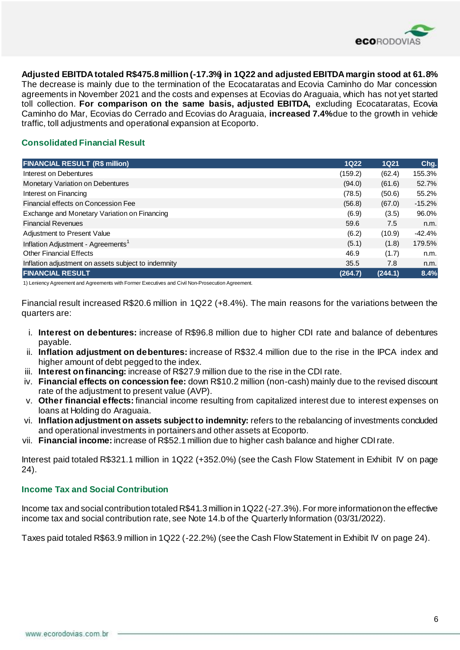

**Adjusted EBITDA totaled R\$475.8 million (-17.3%) in 1Q22 and adjusted EBITDA margin stood at 61.8%**.

The decrease is mainly due to the termination of the Ecocataratas and Ecovia Caminho do Mar concession agreements in November 2021 and the costs and expenses at Ecovias do Araguaia, which has not yet started toll collection. **For comparison on the same basis, adjusted EBITDA,** excluding Ecocataratas, Ecovia Caminho do Mar, Ecovias do Cerrado and Ecovias do Araguaia, **increased 7.4%**due to the growth in vehicle traffic, toll adjustments and operational expansion at Ecoporto.

#### **Consolidated Financial Result**

| <b>FINANCIAL RESULT (R\$ million)</b>               | <b>1Q22</b> | 1Q21    | Chg.     |
|-----------------------------------------------------|-------------|---------|----------|
| Interest on Debentures                              | (159.2)     | (62.4)  | 155.3%   |
| Monetary Variation on Debentures                    | (94.0)      | (61.6)  | 52.7%    |
| Interest on Financing                               | (78.5)      | (50.6)  | 55.2%    |
| Financial effects on Concession Fee                 | (56.8)      | (67.0)  | $-15.2%$ |
| Exchange and Monetary Variation on Financing        | (6.9)       | (3.5)   | 96.0%    |
| <b>Financial Revenues</b>                           | 59.6        | 7.5     | n.m.     |
| Adjustment to Present Value                         | (6.2)       | (10.9)  | -42.4%   |
| Inflation Adjustment - Agreements <sup>1</sup>      | (5.1)       | (1.8)   | 179.5%   |
| <b>Other Financial Effects</b>                      | 46.9        | (1.7)   | n.m.     |
| Inflation adjustment on assets subject to indemnity | 35.5        | 7.8     | n.m.     |
| <b>FINANCIAL RESULT</b>                             | (264.7)     | (244.1) | 8.4%     |

1) Leniency Agreement and Agreements with Former Executives and Civil Non-Prosecution Agreement.

Financial result increased R\$20.6 million in 1Q22 (+8.4%). The main reasons for the variations between the quarters are:

- i. **Interest on debentures:** increase of R\$96.8 million due to higher CDI rate and balance of debentures payable.
- ii. **Inflation adjustment on debentures:** increase of R\$32.4 million due to the rise in the IPCA index and higher amount of debt pegged to the index.
- iii. **Interest on financing:** increase of R\$27.9 million due to the rise in the CDI rate.
- iv. **Financial effects on concession fee:** down R\$10.2 million (non-cash) mainly due to the revised discount rate of the adjustment to present value (AVP).
- v. **Other financial effects:** financial income resulting from capitalized interest due to interest expenses on loans at Holding do Araguaia.
- vi. **Inflation adjustment on assets subject to indemnity:** refers to the rebalancing of investments concluded and operational investments in portainers and other assets at Ecoporto.
- vii. **Financial income:** increase of R\$52.1 million due to higher cash balance and higher CDI rate.

Interest paid totaled R\$321.1 million in 1Q22 (+352.0%) (see the Cash Flow Statement in Exhibit IV on page 24).

#### **Income Tax and Social Contribution**

Income tax and social contribution totaled R\$41.3 million in 1Q22 (-27.3%).For more information on the effective income tax and social contribution rate, see Note 14.b of the Quarterly Information (03/31/2022).

Taxes paid totaled R\$63.9 million in 1Q22 (-22.2%) (see the Cash Flow Statement in Exhibit IV on page 24).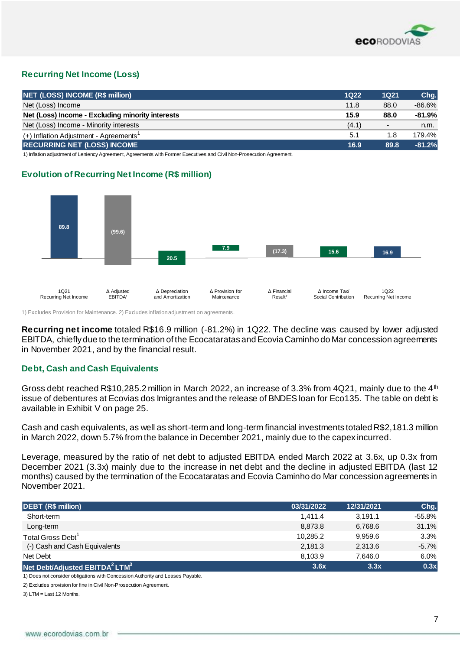

## **Recurring Net Income (Loss)**

| <b>NET (LOSS) INCOME (R\$ million)</b>               | $1Q22$ | 1Q21                     | Chg.      |
|------------------------------------------------------|--------|--------------------------|-----------|
| Net (Loss) Income                                    | 11.8   | 88.0                     | $-86.6\%$ |
| Net (Loss) Income - Excluding minority interests     | 15.9   | 88.0                     | $-81.9%$  |
| Net (Loss) Income - Minority interests               | (4.1)  | $\overline{\phantom{0}}$ | n.m.      |
| $(+)$ Inflation Adjustment - Agreements <sup>1</sup> | 5.1    | 1.8                      | 179.4%    |
| <b>RECURRING NET (LOSS) INCOME</b>                   | 16.9   | 89.8                     | $-81.2%$  |

1) Inflation adjustment of Leniency Agreement, Agreements with Former Executives and Civil Non-Prosecution Agreement.

#### **Evolution of Recurring Net Income (R\$ million)**



1) Excludes Provision for Maintenance. 2) Excludes inflation adjustment on agreements.

**Recurring net income** totaled R\$16.9 million (-81.2%) in 1Q22. The decline was caused by lower adjusted EBITDA, chiefly due to the termination of the Ecocataratas and Ecovia Caminho do Mar concession agreements in November 2021, and by the financial result.

#### **Debt, Cash and Cash Equivalents**

Gross debt reached R\$10,285.2 million in March 2022, an increase of 3.3% from 4Q21, mainly due to the 4<sup>th</sup> issue of debentures at Ecovias dos Imigrantes and the release of BNDES loan for Eco135. The table on debt is available in Exhibit V on page 25.

Cash and cash equivalents, as well as short-term and long-term financial investments totaled R\$2,181.3 million in March 2022, down 5.7% from the balance in December 2021, mainly due to the capex incurred.

Leverage, measured by the ratio of net debt to adjusted EBITDA ended March 2022 at 3.6x, up 0.3x from December 2021 (3.3x) mainly due to the increase in net debt and the decline in adjusted EBITDA (last 12 months) caused by the termination of the Ecocataratas and Ecovia Caminho do Mar concession agreements in November 2021.

| <b>DEBT (R\$ million)</b>                              | 03/31/2022 | 12/31/2021 | Chg.      |
|--------------------------------------------------------|------------|------------|-----------|
| Short-term                                             | 1.411.4    | 3.191.1    | $-55.8\%$ |
| Long-term                                              | 8,873.8    | 6,768.6    | 31.1%     |
| Total Gross Debt <sup>1</sup>                          | 10.285.2   | 9.959.6    | 3.3%      |
| (-) Cash and Cash Equivalents                          | 2,181.3    | 2,313.6    | $-5.7\%$  |
| Net Debt                                               | 8,103.9    | 7.646.0    | 6.0%      |
| Net Debt/Adjusted EBITDA <sup>2</sup> LTM <sup>3</sup> | 3.6x       | 3.3x       | 0.3x      |

1) Does not consider obligations with Concession Authority and Leases Payable.

2) Excludes provision for fine in Civil Non-Prosecution Agreement.

3) LTM = Last 12 Months.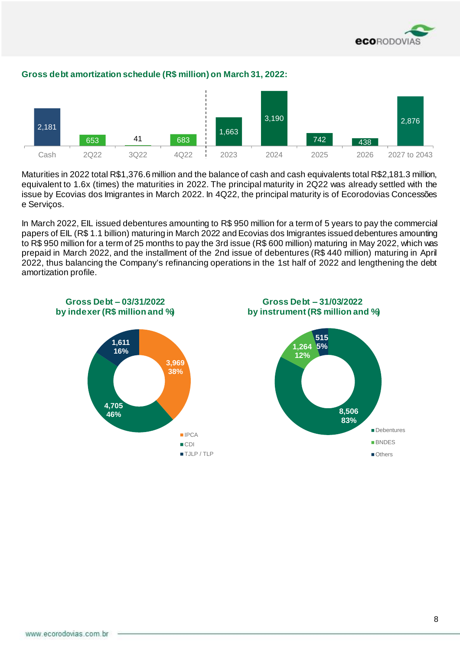



#### **Gross debt amortization schedule (R\$ million) on March 31, 2022:**

Maturities in 2022 total R\$1,376.6 million and the balance of cash and cash equivalents total R\$2,181.3 million, equivalent to 1.6x (times) the maturities in 2022. The principal maturity in 2Q22 was already settled with the issue by Ecovias dos Imigrantes in March 2022. In 4Q22, the principal maturity is of Ecorodovias Concessões e Serviços.

In March 2022, EIL issued debentures amounting to R\$ 950 million for a term of 5 years to pay the commercial papers of EIL (R\$ 1.1 billion) maturing in March 2022 and Ecovias dos Imigrantes issued debentures amounting to R\$ 950 million for a term of 25 months to pay the 3rd issue (R\$ 600 million) maturing in May 2022, which was prepaid in March 2022, and the installment of the 2nd issue of debentures (R\$ 440 million) maturing in April 2022, thus balancing the Company's refinancing operations in the 1st half of 2022 and lengthening the debt amortization profile.

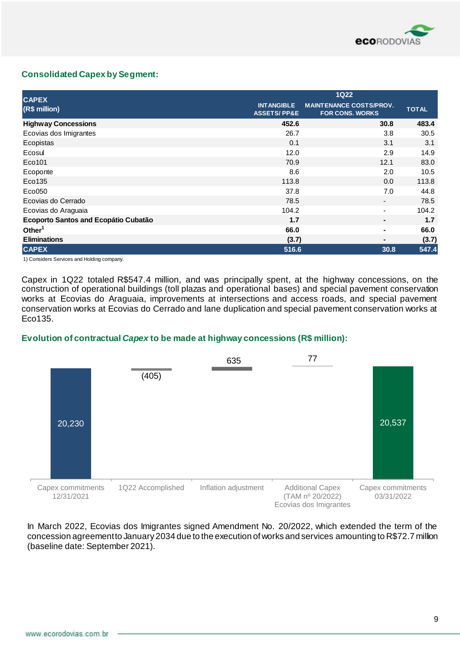

#### **Consolidated Capex by Segment:**

| <b>CAPEX</b>                         |                                             | <b>1Q22</b>                                              |              |
|--------------------------------------|---------------------------------------------|----------------------------------------------------------|--------------|
| (R\$ million)                        | <b>INTANGIBLE</b><br><b>ASSETS/PP&amp;E</b> | <b>MAINTENANCE COSTS/PROV.</b><br><b>FOR CONS. WORKS</b> | <b>TOTAL</b> |
| <b>Highway Concessions</b>           | 452.6                                       | 30.8                                                     | 483.4        |
| Ecovias dos Imigrantes               | 26.7                                        | 3.8                                                      | 30.5         |
| Ecopistas                            | 0.1                                         | 3.1                                                      | 3.1          |
| Ecosul                               | 12.0                                        | 2.9                                                      | 14.9         |
| Eco101                               | 70.9                                        | 12.1                                                     | 83.0         |
| Ecoponte                             | 8.6                                         | 2.0                                                      | 10.5         |
| Eco135                               | 113.8                                       | 0.0                                                      | 113.8        |
| Eco050                               | 37.8                                        | 7.0                                                      | 44.8         |
| Ecovias do Cerrado                   | 78.5                                        | $\overline{\phantom{a}}$                                 | 78.5         |
| Ecovias do Araguaia                  | 104.2                                       | $\blacksquare$                                           | 104.2        |
| Ecoporto Santos and Ecopátio Cubatão | 1.7                                         | ٠                                                        | 1.7          |
| Other <sup>1</sup>                   | 66.0                                        | ۰                                                        | 66.0         |
| <b>Eliminations</b>                  | (3.7)                                       | -                                                        | (3.7)        |
| <b>CAPEX</b>                         | 516.6                                       | 30.8                                                     | 547.4        |

1) Considers Services and Holding company.

Capex in 1Q22 totaled R\$547.4 million, and was principally spent, at the highway concessions, on the construction of operational buildings (toll plazas and operational bases) and special pavement conservation works at Ecovias do Araguaia, improvements at intersections and access roads, and special pavement conservation works at Ecovias do Cerrado and lane duplication and special pavement conservation works at Eco135.

#### **Evolution of contractual** *Capex* **to be made at highway concessions (R\$ million):**



In March 2022, Ecovias dos Imigrantes signed Amendment No. 20/2022, which extended the term of the concession agreement to January 2034 due to the execution of works and services amounting to R\$72.7 million (baseline date: September 2021).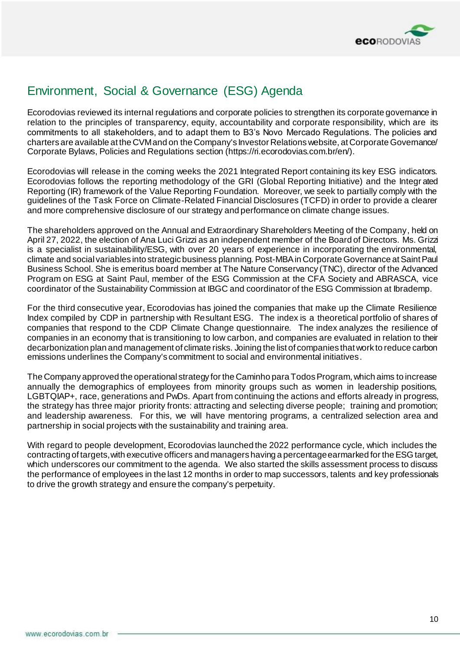

## Environment, Social & Governance (ESG) Agenda

Ecorodovias reviewed its internal regulations and corporate policies to strengthen its corporate governance in relation to the principles of transparency, equity, accountability and corporate responsibility, which are its commitments to all stakeholders, and to adapt them to B3's Novo Mercado Regulations. The policies and charters are available at the CVM and on the Company's Investor Relations website, at Corporate Governance/ Corporate Bylaws, Policies and Regulations section (https://ri.ecorodovias.com.br/en/).

Ecorodovias will release in the coming weeks the 2021 Integrated Report containing its key ESG indicators. Ecorodovias follows the reporting methodology of the GRI (Global Reporting Initiative) and the Integr ated Reporting (IR) framework of the Value Reporting Foundation. Moreover, we seek to partially comply with the guidelines of the Task Force on Climate-Related Financial Disclosures (TCFD) in order to provide a clearer and more comprehensive disclosure of our strategy and performance on climate change issues.

The shareholders approved on the Annual and Extraordinary Shareholders Meeting of the Company, held on April 27, 2022, the election of Ana Luci Grizzi as an independent member of the Board of Directors. Ms. Grizzi is a specialist in sustainability/ESG, with over 20 years of experience in incorporating the environmental, climate and social variables into strategic business planning.Post-MBA in Corporate Governance at Saint Paul Business School. She is emeritus board member at The Nature Conservancy (TNC), director of the Advanced Program on ESG at Saint Paul, member of the ESG Commission at the CFA Society and ABRASCA, vice coordinator of the Sustainability Commission at IBGC and coordinator of the ESG Commission at Ibrademp.

For the third consecutive year, Ecorodovias has joined the companies that make up the Climate Resilience Index compiled by CDP in partnership with Resultant ESG. The index is a theoretical portfolio of shares of companies that respond to the CDP Climate Change questionnaire. The index analyzes the resilience of companies in an economy that is transitioning to low carbon, and companies are evaluated in relation to their decarbonization plan and management of climate risks. Joining the list of companies that work to reduce carbon emissions underlines the Company's commitment to social and environmental initiatives.

The Company approved the operational strategy for the Caminho para Todos Program, which aims to increase annually the demographics of employees from minority groups such as women in leadership positions, LGBTQIAP+, race, generations and PwDs. Apart from continuing the actions and efforts already in progress, the strategy has three major priority fronts: attracting and selecting diverse people; training and promotion; and leadership awareness. For this, we will have mentoring programs, a centralized selection area and partnership in social projects with the sustainability and training area.

With regard to people development, Ecorodovias launched the 2022 performance cycle, which includes the contracting of targets, with executive officers and managers having a percentage earmarked for the ESG target, which underscores our commitment to the agenda. We also started the skills assessment process to discuss the performance of employees in the last 12 months in order to map successors, talents and key professionals to drive the growth strategy and ensure the company's perpetuity.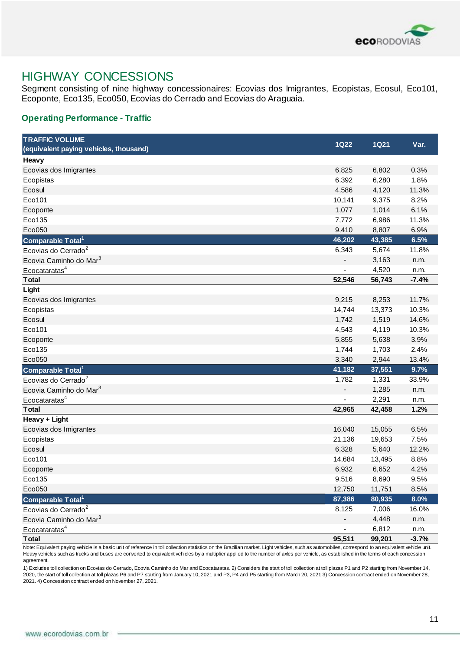

## HIGHWAY CONCESSIONS

Segment consisting of nine highway concessionaires: Ecovias dos Imigrantes, Ecopistas, Ecosul, Eco101, Ecoponte, Eco135, Eco050, Ecovias do Cerrado and Ecovias do Araguaia.

#### **Operating Performance - Traffic**

| <b>TRAFFIC VOLUME</b>                  |             |             |         |
|----------------------------------------|-------------|-------------|---------|
| (equivalent paying vehicles, thousand) | <b>1Q22</b> | <b>1Q21</b> | Var.    |
| Heavy                                  |             |             |         |
| Ecovias dos Imigrantes                 | 6,825       | 6,802       | 0.3%    |
| Ecopistas                              | 6,392       | 6,280       | 1.8%    |
| Ecosul                                 | 4,586       | 4,120       | 11.3%   |
| Eco101                                 | 10,141      | 9,375       | 8.2%    |
| Ecoponte                               | 1,077       | 1,014       | 6.1%    |
| Eco135                                 | 7,772       | 6,986       | 11.3%   |
| Eco050                                 | 9,410       | 8,807       | 6.9%    |
| Comparable Total <sup>1</sup>          | 46,202      | 43,385      | 6.5%    |
| Ecovias do Cerrado <sup>2</sup>        | 6,343       | 5,674       | 11.8%   |
| Ecovia Caminho do Mar <sup>3</sup>     |             | 3,163       | n.m.    |
| Ecocataratas <sup>4</sup>              |             | 4,520       | n.m.    |
| <b>T</b> otal                          | 52,546      | 56,743      | $-7.4%$ |
| Light                                  |             |             |         |
| Ecovias dos Imigrantes                 | 9,215       | 8,253       | 11.7%   |
| Ecopistas                              | 14,744      | 13,373      | 10.3%   |
| Ecosul                                 | 1,742       | 1,519       | 14.6%   |
| Eco101                                 | 4,543       | 4,119       | 10.3%   |
| Ecoponte                               | 5,855       | 5,638       | 3.9%    |
| Eco135                                 | 1,744       | 1,703       | 2.4%    |
| Eco050                                 | 3,340       | 2,944       | 13.4%   |
| Comparable Total <sup>1</sup>          | 41,182      | 37,551      | 9.7%    |
| Ecovias do Cerrado <sup>2</sup>        | 1,782       | 1,331       | 33.9%   |
| Ecovia Caminho do Mar <sup>3</sup>     |             | 1,285       | n.m.    |
| Ecocataratas <sup>4</sup>              |             | 2,291       | n.m.    |
| <b>Total</b>                           | 42,965      | 42,458      | 1.2%    |
| Heavy + Light                          |             |             |         |
| Ecovias dos Imigrantes                 | 16,040      | 15,055      | 6.5%    |
| Ecopistas                              | 21,136      | 19,653      | 7.5%    |
| Ecosul                                 | 6,328       | 5,640       | 12.2%   |
| Eco101                                 | 14,684      | 13,495      | 8.8%    |
| Ecoponte                               | 6,932       | 6,652       | 4.2%    |
| Eco135                                 | 9,516       | 8,690       | 9.5%    |
| Eco050                                 | 12,750      | 11,751      | 8.5%    |
| Comparable Total <sup>1</sup>          | 87,386      | 80,935      | 8.0%    |
| Ecovias do Cerrado <sup>2</sup>        | 8,125       | 7,006       | 16.0%   |
| Ecovia Caminho do Mar <sup>3</sup>     |             | 4,448       | n.m.    |
| Ecocataratas <sup>4</sup>              |             | 6,812       | n.m.    |
| <b>Total</b>                           | 95,511      | 99,201      | $-3.7%$ |

Note: Equivalent paying vehicle is a basic unit of reference in toll collection statistics on the Brazilian market. Light vehicles, such as automobiles, correspond to an equivalent vehicle unit. Heavy vehicles such as trucks and buses are converted to equivalent vehicles by a multiplier applied to the number of axles per vehicle, as established in the terms of each concession agreement.

1) Excludes toll collection on Ecovias do Cerrado, Ecovia Caminho do Mar and Ecocataratas. 2) Considers the start of toll collection at toll plazas P1 and P2 starting from November 14, 2020, the start of toll collection at toll plazas P6 and P7 starting from January 10, 2021 and P3, P4 and P5 starting from March 20, 2021.3) Concession contract ended on November 28, 2021. 4) Concession contract ended on November 27, 2021.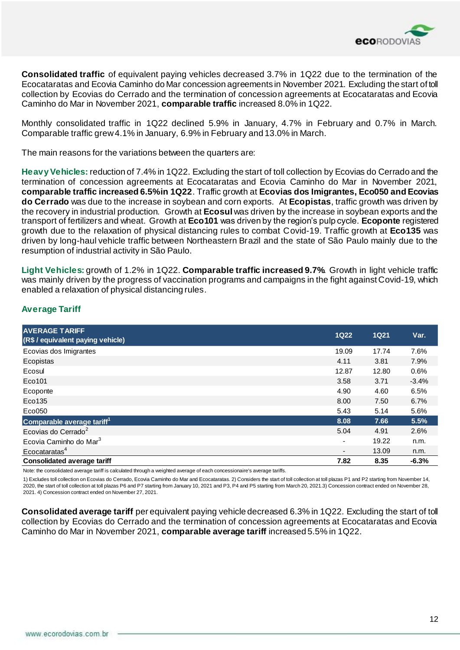

**Consolidated traffic** of equivalent paying vehicles decreased 3.7% in 1Q22 due to the termination of the Ecocataratas and Ecovia Caminho do Mar concession agreements in November 2021. Excluding the start of toll collection by Ecovias do Cerrado and the termination of concession agreements at Ecocataratas and Ecovia Caminho do Mar in November 2021, **comparable traffic** increased 8.0% in 1Q22.

Monthly consolidated traffic in 1Q22 declined 5.9% in January, 4.7% in February and 0.7% in March. Comparable traffic grew 4.1% in January, 6.9% in February and 13.0% in March.

The main reasons for the variations between the quarters are:

**Heavy Vehicles:** reduction of 7.4% in 1Q22. Excluding the start of toll collection by Ecovias do Cerrado and the termination of concession agreements at Ecocataratas and Ecovia Caminho do Mar in November 2021, **comparable traffic increased 6.5% in 1Q22**. Traffic growth at **Ecovias dos Imigrantes, Eco050 and Ecovias do Cerrado** was due to the increase in soybean and corn exports. At **Ecopistas**, traffic growth was driven by the recovery in industrial production. Growth at **Ecosul** was driven by the increase in soybean exports and the transport of fertilizers and wheat. Growth at **Eco101** was driven by the region's pulp cycle. **Ecoponte** registered growth due to the relaxation of physical distancing rules to combat Covid-19. Traffic growth at **Eco135** was driven by long-haul vehicle traffic between Northeastern Brazil and the state of São Paulo mainly due to the resumption of industrial activity in São Paulo.

**Light Vehicles:** growth of 1.2% in 1Q22. **Comparable traffic increased 9.7%**. Growth in light vehicle traffic was mainly driven by the progress of vaccination programs and campaigns in the fight against Covid-19, which enabled a relaxation of physical distancing rules.

#### **Average Tariff**

| <b>AVERAGE TARIFF</b><br>(R\$ / equivalent paying vehicle) | <b>1Q22</b>    | <b>1Q21</b> | Var.    |
|------------------------------------------------------------|----------------|-------------|---------|
| Ecovias dos Imigrantes                                     | 19.09          | 17.74       | 7.6%    |
| Ecopistas                                                  | 4.11           | 3.81        | 7.9%    |
| Ecosul                                                     | 12.87          | 12.80       | 0.6%    |
| Eco101                                                     | 3.58           | 3.71        | $-3.4%$ |
| Ecoponte                                                   | 4.90           | 4.60        | 6.5%    |
| Eco135                                                     | 8.00           | 7.50        | 6.7%    |
| $E$ co050                                                  | 5.43           | 5.14        | 5.6%    |
| Comparable average tariff <sup>1</sup>                     | 8.08           | 7.66        | 5.5%    |
| Ecovias do Cerrado <sup>2</sup>                            | 5.04           | 4.91        | 2.6%    |
| Ecovia Caminho do Mar <sup>3</sup>                         | $\blacksquare$ | 19.22       | n.m.    |
| Ecocataratas <sup>4</sup>                                  |                | 13.09       | n.m.    |
| <b>Consolidated average tariff</b>                         | 7.82           | 8.35        | $-6.3%$ |

Note: the consolidated average tariff is calculated through a weighted average of each concessionaire's average tariffs.

1) Excludes toll collection on Ecovias do Cerrado, Ecovia Caminho do Mar and Ecocataratas. 2) Considers the start of toll collection at toll plazas P1 and P2 starting from November 14, 2020, the start of toll collection at toll plazas P6 and P7 starting from January 10, 2021 and P3, P4 and P5 starting from March 20, 2021.3) Concession contract ended on November 28, 2021. 4) Concession contract ended on November 27, 2021.

**Consolidated average tariff** per equivalent paying vehicle decreased 6.3% in 1Q22. Excluding the start of toll collection by Ecovias do Cerrado and the termination of concession agreements at Ecocataratas and Ecovia Caminho do Mar in November 2021, **comparable average tariff** increased 5.5% in 1Q22.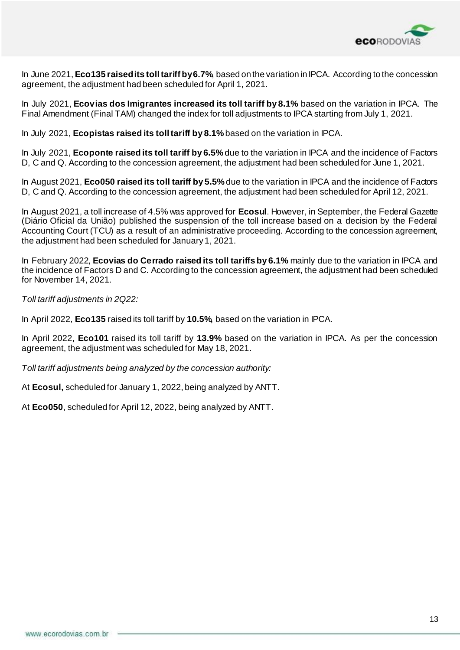

In June 2021, **Eco135 raised its toll tariff by 6.7%**, based on the variation in IPCA. According to the concession agreement, the adjustment had been scheduled for April 1, 2021.

In July 2021, **Ecovias dos Imigrantes increased its toll tariff by 8.1%** based on the variation in IPCA. The Final Amendment (Final TAM) changed the index for toll adjustments to IPCA starting from July 1, 2021.

In July 2021, **Ecopistas raised its toll tariff by 8.1%** based on the variation in IPCA.

In July 2021, **Ecoponte raised its toll tariff by 6.5%** due to the variation in IPCA and the incidence of Factors D, C and Q. According to the concession agreement, the adjustment had been scheduled for June 1, 2021.

In August 2021, **Eco050 raised its toll tariff by 5.5%** due to the variation in IPCA and the incidence of Factors D, C and Q. According to the concession agreement, the adjustment had been scheduled for April 12, 2021.

In August 2021, a toll increase of 4.5% was approved for **Ecosul**. However, in September, the Federal Gazette (Diário Oficial da União) published the suspension of the toll increase based on a decision by the Federal Accounting Court (TCU) as a result of an administrative proceeding. According to the concession agreement, the adjustment had been scheduled for January 1, 2021.

In February 2022, **Ecovias do Cerrado raised its toll tariffs by 6.1%** mainly due to the variation in IPCA and the incidence of Factors D and C. According to the concession agreement, the adjustment had been scheduled for November 14, 2021.

*Toll tariff adjustments in 2Q22:*

In April 2022, **Eco135** raised its toll tariff by **10.5%,** based on the variation in IPCA.

In April 2022, **Eco101** raised its toll tariff by **13.9%** based on the variation in IPCA. As per the concession agreement, the adjustment was scheduled for May 18, 2021.

*Toll tariff adjustments being analyzed by the concession authority:* 

At **Ecosul,** scheduled for January 1, 2022, being analyzed by ANTT.

At **Eco050**, scheduled for April 12, 2022, being analyzed by ANTT.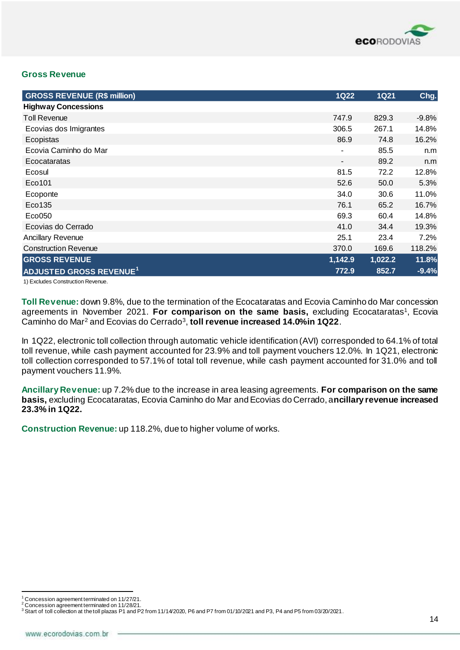

#### **Gross Revenue**

| <b>GROSS REVENUE (R\$ million)</b>  | <b>1Q22</b>              | <b>1Q21</b> | Chg.    |
|-------------------------------------|--------------------------|-------------|---------|
| <b>Highway Concessions</b>          |                          |             |         |
| <b>Toll Revenue</b>                 | 747.9                    | 829.3       | $-9.8%$ |
| Ecovias dos Imigrantes              | 306.5                    | 267.1       | 14.8%   |
| Ecopistas                           | 86.9                     | 74.8        | 16.2%   |
| Ecovia Caminho do Mar               | $\blacksquare$           | 85.5        | n.m     |
| Ecocataratas                        | $\overline{\phantom{a}}$ | 89.2        | n.m     |
| Ecosul                              | 81.5                     | 72.2        | 12.8%   |
| Eco101                              | 52.6                     | 50.0        | 5.3%    |
| Ecoponte                            | 34.0                     | 30.6        | 11.0%   |
| Eco135                              | 76.1                     | 65.2        | 16.7%   |
| Eco050                              | 69.3                     | 60.4        | 14.8%   |
| Ecovias do Cerrado                  | 41.0                     | 34.4        | 19.3%   |
| <b>Ancillary Revenue</b>            | 25.1                     | 23.4        | 7.2%    |
| <b>Construction Revenue</b>         | 370.0                    | 169.6       | 118.2%  |
| <b>GROSS REVENUE</b>                | 1,142.9                  | 1,022.2     | 11.8%   |
| ADJUSTED GROSS REVENUE <sup>1</sup> | 772.9                    | 852.7       | $-9.4%$ |

1) Excludes Construction Revenue.

**Toll Revenue:** down 9.8%, due to the termination of the Ecocataratas and Ecovia Caminho do Mar concession agreements in November 2021. For comparison on the same basis, excluding Ecocataratas<sup>1</sup>, Ecovia Caminho do Mar<sup>2</sup> and Ecovias do Cerrado<sup>3</sup>, t**oll revenue increased 14.0% in 1Q22**.

In 1Q22, electronic toll collection through automatic vehicle identification (AVI) corresponded to 64.1% of total toll revenue, while cash payment accounted for 23.9% and toll payment vouchers 12.0%. In 1Q21, electronic toll collection corresponded to 57.1% of total toll revenue, while cash payment accounted for 31.0% and toll payment vouchers 11.9%.

**Ancillary Revenue:** up 7.2% due to the increase in area leasing agreements. **For comparison on the same basis, excluding Ecocataratas, Ecovia Caminho do Mar and Ecovias do Cerrado, ancillary revenue increased 23.3% in 1Q22.**

**Construction Revenue:** up 118.2%, due to higher volume of works.

 $1$  Concession agreement terminated on 11/27/21.

<sup>2</sup> Concession agreement terminated on 11/28/21.

 $3$  Start of toll collection at the toll plazas P1 and P2 from 11/14/2020, P6 and P7 from 01/10/2021 and P3, P4 and P5 from 03/20/2021.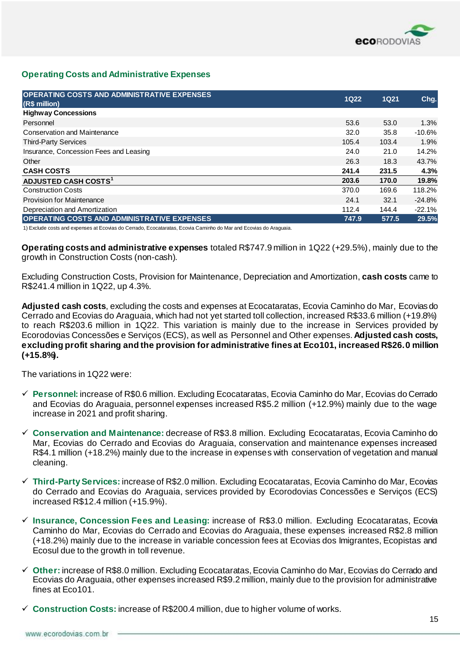

#### **Operating Costs and Administrative Expenses**

| <b>OPERATING COSTS AND ADMINISTRATIVE EXPENSES</b><br>(R\$ million) | <b>1Q22</b> | 1Q21  | Chg.      |
|---------------------------------------------------------------------|-------------|-------|-----------|
| <b>Highway Concessions</b>                                          |             |       |           |
| Personnel                                                           | 53.6        | 53.0  | 1.3%      |
| Conservation and Maintenance                                        | 32.0        | 35.8  | $-10.6\%$ |
| <b>Third-Party Services</b>                                         | 105.4       | 103.4 | 1.9%      |
| Insurance, Concession Fees and Leasing                              | 24.0        | 21.0  | 14.2%     |
| Other                                                               | 26.3        | 18.3  | 43.7%     |
| <b>CASH COSTS</b>                                                   | 241.4       | 231.5 | 4.3%      |
| ADJUSTED CASH COSTS <sup>1</sup>                                    | 203.6       | 170.0 | 19.8%     |
| <b>Construction Costs</b>                                           | 370.0       | 169.6 | 118.2%    |
| <b>Provision for Maintenance</b>                                    | 24.1        | 32.1  | $-24.8%$  |
| Depreciation and Amortization                                       | 112.4       | 144.4 | $-22.1%$  |
| <b>OPERATING COSTS AND ADMINISTRATIVE EXPENSES</b>                  | 747.9       | 577.5 | 29.5%     |

1) Exclude costs and expenses at Ecovias do Cerrado, Ecocataratas, Ecovia Caminho do Mar and Ecovias do Araguaia.

**Operating costs and administrative expenses** totaled R\$747.9 million in 1Q22 (+29.5%), mainly due to the growth in Construction Costs (non-cash).

Excluding Construction Costs, Provision for Maintenance, Depreciation and Amortization, **cash costs** came to R\$241.4 million in 1Q22, up 4.3%.

**Adjusted cash costs**, excluding the costs and expenses at Ecocataratas, Ecovia Caminho do Mar, Ecovias do Cerrado and Ecovias do Araguaia, which had not yet started toll collection, increased R\$33.6 million (+19.8%) to reach R\$203.6 million in 1Q22. This variation is mainly due to the increase in Services provided by Ecorodovias Concessões e Serviços (ECS), as well as Personnel and Other expenses. **Adjusted cash costs, excluding profit sharing and the provision for administrative fines at Eco101, increased R\$26.0 million (+15.8%).**

The variations in 1Q22 were:

- ✓ **Personnel:** increase of R\$0.6 million. Excluding Ecocataratas, Ecovia Caminho do Mar, Ecovias do Cerrado and Ecovias do Araguaia, personnel expenses increased R\$5.2 million (+12.9%) mainly due to the wage increase in 2021 and profit sharing.
- ✓ **Conservation and Maintenance:** decrease of R\$3.8 million. Excluding Ecocataratas, Ecovia Caminho do Mar, Ecovias do Cerrado and Ecovias do Araguaia, conservation and maintenance expenses increased R\$4.1 million (+18.2%) mainly due to the increase in expenses with conservation of vegetation and manual cleaning.
- ✓ **Third-Party Services:** increase of R\$2.0 million. Excluding Ecocataratas, Ecovia Caminho do Mar, Ecovias do Cerrado and Ecovias do Araguaia, services provided by Ecorodovias Concessões e Serviços (ECS) increased R\$12.4 million (+15.9%).
- ✓ **Insurance, Concession Fees and Leasing:** increase of R\$3.0 million. Excluding Ecocataratas, Ecovia Caminho do Mar, Ecovias do Cerrado and Ecovias do Araguaia, these expenses increased R\$2.8 million (+18.2%) mainly due to the increase in variable concession fees at Ecovias dos Imigrantes, Ecopistas and Ecosul due to the growth in toll revenue.
- ✓ **Other:** increase of R\$8.0 million. Excluding Ecocataratas, Ecovia Caminho do Mar, Ecovias do Cerrado and Ecovias do Araguaia, other expenses increased R\$9.2 million, mainly due to the provision for administrative fines at Eco101.
- ✓ **Construction Costs:** increase of R\$200.4 million, due to higher volume of works.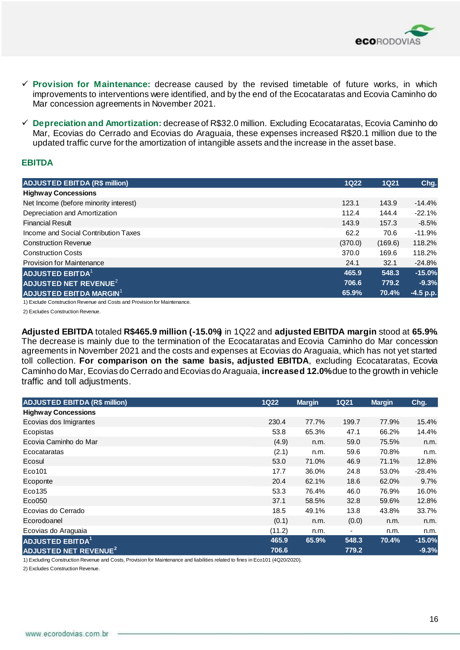

- ✓ **Provision for Maintenance:** decrease caused by the revised timetable of future works, in which improvements to interventions were identified, and by the end of the Ecocataratas and Ecovia Caminho do Mar concession agreements in November 2021.
- ✓ **Depreciation and Amortization:** decrease of R\$32.0 million. Excluding Ecocataratas, Ecovia Caminho do Mar, Ecovias do Cerrado and Ecovias do Araguaia, these expenses increased R\$20.1 million due to the updated traffic curve for the amortization of intangible assets and the increase in the asset base.

#### **EBITDA**

| <b>ADJUSTED EBITDA (R\$ million)</b>  | <b>1Q22</b> | <b>1Q21</b> | Chg.        |
|---------------------------------------|-------------|-------------|-------------|
| <b>Highway Concessions</b>            |             |             |             |
| Net Income (before minority interest) | 123.1       | 143.9       | $-14.4%$    |
| Depreciation and Amortization         | 112.4       | 144.4       | $-22.1%$    |
| <b>Financial Result</b>               | 143.9       | 157.3       | $-8.5\%$    |
| Income and Social Contribution Taxes  | 62.2        | 70.6        | $-11.9%$    |
| <b>Construction Revenue</b>           | (370.0)     | (169.6)     | 118.2%      |
| <b>Construction Costs</b>             | 370.0       | 169.6       | 118.2%      |
| <b>Provision for Maintenance</b>      | 24.1        | 32.1        | $-24.8%$    |
| <b>ADJUSTED EBITDA<sup>1</sup></b>    | 465.9       | 548.3       | $-15.0%$    |
| ADJUSTED NET REVENUE <sup>2</sup>     | 706.6       | 779.2       | $-9.3%$     |
| ADJUSTED EBITDA MARGIN <sup>1</sup>   | 65.9%       | 70.4%       | $-4.5$ p.p. |

1) Exclude Construction Revenue and Costs and Provision for Maintenance.

2) Excludes Construction Revenue.

**Adjusted EBITDA** totaled **R\$465.9 million (-15.0%)** in 1Q22 and **adjusted EBITDA margin** stood at **65.9%**. The decrease is mainly due to the termination of the Ecocataratas and Ecovia Caminho do Mar concession agreements in November 2021 and the costs and expenses at Ecovias do Araguaia, which has not yet started toll collection. **For comparison on the same basis, adjusted EBITDA**, excluding Ecocataratas, Ecovia Caminho do Mar, Ecovias do Cerrado and Ecovias do Araguaia, **increased 12.0%**due to the growth in vehicle traffic and toll adjustments.

| <b>ADJUSTED EBITDA (R\$ million)</b>    | <b>1Q22</b> | <b>Margin</b> | <b>1Q21</b> | <b>Margin</b> | Chg.     |
|-----------------------------------------|-------------|---------------|-------------|---------------|----------|
| <b>Highway Concessions</b>              |             |               |             |               |          |
| Ecovias dos Imigrantes                  | 230.4       | 77.7%         | 199.7       | 77.9%         | 15.4%    |
| Ecopistas                               | 53.8        | 65.3%         | 47.1        | 66.2%         | 14.4%    |
| Ecovia Caminho do Mar                   | (4.9)       | n.m.          | 59.0        | 75.5%         | n.m.     |
| Ecocataratas                            | (2.1)       | n.m.          | 59.6        | 70.8%         | n.m.     |
| Ecosul                                  | 53.0        | 71.0%         | 46.9        | 71.1%         | 12.8%    |
| Eco101                                  | 17.7        | 36.0%         | 24.8        | 53.0%         | $-28.4%$ |
| Ecoponte                                | 20.4        | 62.1%         | 18.6        | 62.0%         | 9.7%     |
| Eco135                                  | 53.3        | 76.4%         | 46.0        | 76.9%         | 16.0%    |
| $E$ co 050                              | 37.1        | 58.5%         | 32.8        | 59.6%         | 12.8%    |
| Ecovias do Cerrado                      | 18.5        | 49.1%         | 13.8        | 43.8%         | 33.7%    |
| Ecorodoanel                             | (0.1)       | n.m.          | (0.0)       | n.m.          | n.m.     |
| Ecovias do Araguaia                     | (11.2)      | n.m.          |             | n.m.          | n.m.     |
| <b>ADJUSTED EBITDA<sup>1</sup></b>      | 465.9       | 65.9%         | 548.3       | 70.4%         | $-15.0%$ |
| <b>ADJUSTED NET REVENUE<sup>2</sup></b> | 706.6       |               | 779.2       |               | $-9.3%$  |

1) Excluding Construction Revenue and Costs, Provision for Maintenance and liabilities related to fines in Eco101 (4Q20/2020).

2) Excludes Construction Revenue.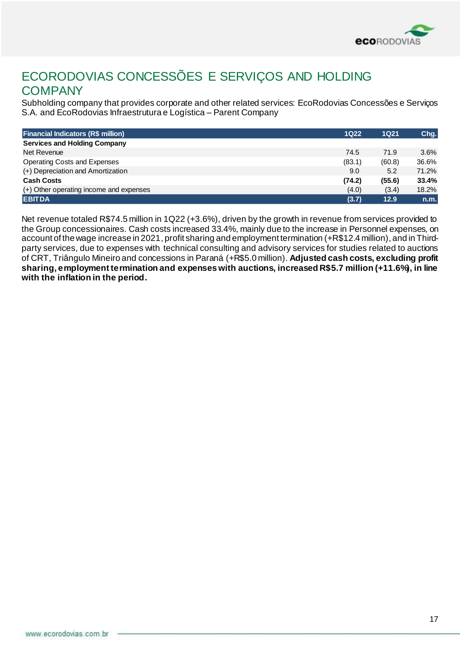

## ECORODOVIAS CONCESSÕES E SERVIÇOS AND HOLDING **COMPANY**

Subholding company that provides corporate and other related services: EcoRodovias Concessões e Serviços S.A. and EcoRodovias Infraestrutura e Logística – Parent Company

| <b>Financial Indicators (R\$ million)</b> | <b>1Q22</b> | <b>1Q21</b> | Chg.  |
|-------------------------------------------|-------------|-------------|-------|
| <b>Services and Holding Company</b>       |             |             |       |
| Net Revenue                               | 74.5        | 71.9        | 3.6%  |
| Operating Costs and Expenses              | (83.1)      | (60.8)      | 36.6% |
| (+) Depreciation and Amortization         | 9.0         | 5.2         | 71.2% |
| <b>Cash Costs</b>                         | (74.2)      | (55.6)      | 33.4% |
| (+) Other operating income and expenses   | (4.0)       | (3.4)       | 18.2% |
| <b>EBITDA</b>                             | (3.7)       | 12.9        | n.m.  |

Net revenue totaled R\$74.5 million in 1Q22 (+3.6%), driven by the growth in revenue from services provided to the Group concessionaires. Cash costs increased 33.4%, mainly due to the increase in Personnel expenses, on account of the wage increase in 2021, profit sharing and employment termination (+R\$12.4 million), and in Thirdparty services, due to expenses with technical consulting and advisory services for studies related to auctions of CRT, Triângulo Mineiro and concessions in Paraná (+R\$5.0 million). **Adjusted cash costs, excluding profit sharing, employment termination and expenses with auctions, increased R\$5.7 million (+11.6%), in line with the inflation in the period.**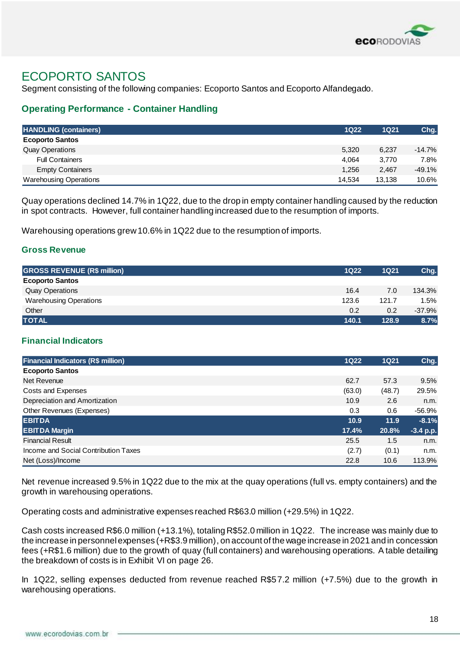

## ECOPORTO SANTOS

Segment consisting of the following companies: Ecoporto Santos and Ecoporto Alfandegado.

### **Operating Performance - Container Handling**

| <b>HANDLING (containers)</b>  | $1Q22$ | 1Q21   | Chg.     |
|-------------------------------|--------|--------|----------|
| <b>Ecoporto Santos</b>        |        |        |          |
| <b>Quay Operations</b>        | 5,320  | 6,237  | $-14.7%$ |
| <b>Full Containers</b>        | 4.064  | 3.770  | 7.8%     |
| <b>Empty Containers</b>       | 1,256  | 2,467  | $-49.1%$ |
| <b>Warehousing Operations</b> | 14.534 | 13,138 | 10.6%    |

Quay operations declined 14.7% in 1Q22, due to the drop in empty container handling caused by the reduction in spot contracts. However, full container handling increased due to the resumption of imports.

Warehousing operations grew 10.6% in 1Q22 due to the resumption of imports.

#### **Gross Revenue**

| <b>GROSS REVENUE (R\$ million)</b> | $1Q22$ | 1Q21  | Chg.     |
|------------------------------------|--------|-------|----------|
| <b>Ecoporto Santos</b>             |        |       |          |
| <b>Quay Operations</b>             | 16.4   | 7.0   | 134.3%   |
| <b>Warehousing Operations</b>      | 123.6  | 121.7 | 1.5%     |
| Other                              | 0.2    | 0.2   | $-37.9%$ |
| <b>TOTAL</b>                       | 140.1  | 128.9 | 8.7%     |

#### **Financial Indicators**

| <b>Financial Indicators (R\$ million)</b> | $1Q22$ | <b>1Q21</b> | Chg.        |
|-------------------------------------------|--------|-------------|-------------|
| <b>Ecoporto Santos</b>                    |        |             |             |
| Net Revenue                               | 62.7   | 57.3        | 9.5%        |
| Costs and Expenses                        | (63.0) | (48.7)      | 29.5%       |
| Depreciation and Amortization             | 10.9   | 2.6         | n.m.        |
| Other Revenues (Expenses)                 | 0.3    | 0.6         | -56.9%      |
| <b>EBITDA</b>                             | 10.9   | 11.9        | $-8.1%$     |
| <b>EBITDA Margin</b>                      | 17.4%  | 20.8%       | $-3.4 p.p.$ |
| <b>Financial Result</b>                   | 25.5   | 1.5         | n.m.        |
| Income and Social Contribution Taxes      | (2.7)  | (0.1)       | n.m.        |
| Net (Loss)/Income                         | 22.8   | 10.6        | 113.9%      |

Net revenue increased 9.5% in 1Q22 due to the mix at the quay operations (full vs. empty containers) and the growth in warehousing operations.

Operating costs and administrative expenses reached R\$63.0 million (+29.5%) in 1Q22.

Cash costs increased R\$6.0 million (+13.1%), totaling R\$52.0 million in 1Q22. The increase was mainly due to the increase in personnel expenses (+R\$3.9 million), on account of the wage increase in 2021 and in concession fees (+R\$1.6 million) due to the growth of quay (full containers) and warehousing operations. A table detailing the breakdown of costs is in Exhibit VI on page 26.

In 1Q22, selling expenses deducted from revenue reached R\$57.2 million (+7.5%) due to the growth in warehousing operations.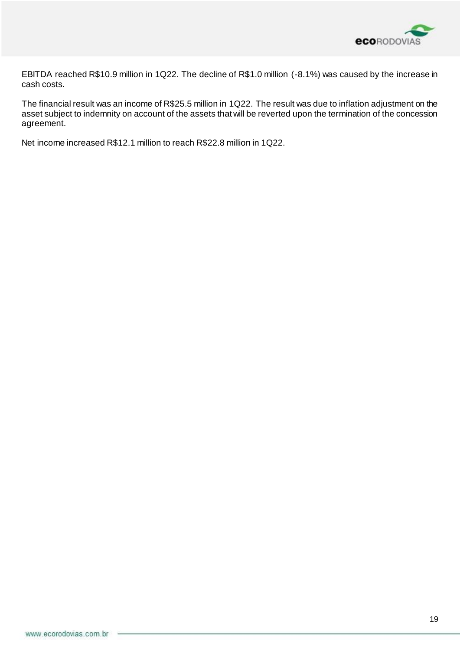

EBITDA reached R\$10.9 million in 1Q22. The decline of R\$1.0 million (-8.1%) was caused by the increase in cash costs.

The financial result was an income of R\$25.5 million in 1Q22. The result was due to inflation adjustment on the asset subject to indemnity on account of the assets that will be reverted upon the termination of the concession agreement.

Net income increased R\$12.1 million to reach R\$22.8 million in 1Q22.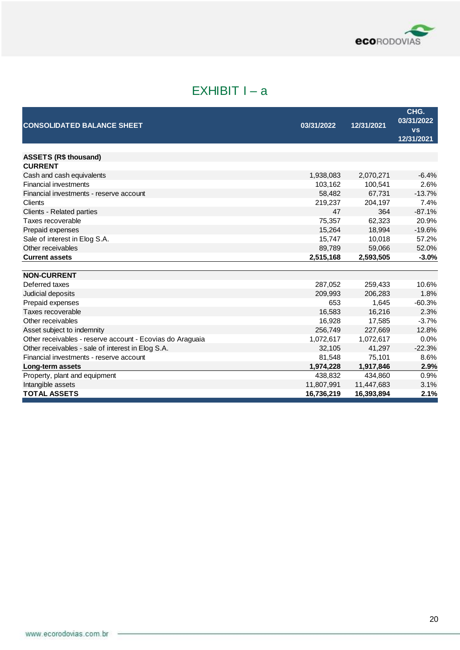

# $EXHIBIT I - a$

| <b>CONSOLIDATED BALANCE SHEET</b>                         | 03/31/2022       | 12/31/2021     | CHG.<br>03/31/2022<br><b>VS</b><br>12/31/2021 |
|-----------------------------------------------------------|------------------|----------------|-----------------------------------------------|
|                                                           |                  |                |                                               |
| <b>ASSETS (R\$ thousand)</b>                              |                  |                |                                               |
| <b>CURRENT</b>                                            |                  |                | $-6.4%$                                       |
| Cash and cash equivalents<br><b>Financial investments</b> | 1,938,083        | 2,070,271      |                                               |
|                                                           | 103,162          | 100,541        | 2.6%                                          |
| Financial investments - reserve account                   | 58,482           | 67,731         | $-13.7%$                                      |
| Clients                                                   | 219,237<br>47    | 204,197<br>364 | 7.4%<br>$-87.1%$                              |
| Clients - Related parties<br>Taxes recoverable            |                  | 62,323         | 20.9%                                         |
| Prepaid expenses                                          | 75,357<br>15,264 | 18,994         | $-19.6%$                                      |
| Sale of interest in Elog S.A.                             | 15,747           | 10,018         | 57.2%                                         |
| Other receivables                                         | 89,789           | 59.066         | 52.0%                                         |
| <b>Current assets</b>                                     | 2,515,168        | 2,593,505      | $-3.0%$                                       |
|                                                           |                  |                |                                               |
| <b>NON-CURRENT</b>                                        |                  |                |                                               |
| Deferred taxes                                            | 287,052          | 259,433        | 10.6%                                         |
| Judicial deposits                                         | 209,993          | 206,283        | 1.8%                                          |
| Prepaid expenses                                          | 653              | 1,645          | $-60.3%$                                      |
| Taxes recoverable                                         | 16,583           | 16,216         | 2.3%                                          |
| Other receivables                                         | 16,928           | 17,585         | $-3.7%$                                       |
| Asset subject to indemnity                                | 256,749          | 227,669        | 12.8%                                         |
| Other receivables - reserve account - Ecovias do Araguaia | 1,072,617        | 1,072,617      | 0.0%                                          |
| Other receivables - sale of interest in Elog S.A.         | 32,105           | 41,297         | $-22.3%$                                      |
| Financial investments - reserve account                   | 81,548           | 75,101         | 8.6%                                          |
| Long-term assets                                          | 1,974,228        | 1,917,846      | 2.9%                                          |
| Property, plant and equipment                             | 438,832          | 434,860        | 0.9%                                          |
| Intangible assets                                         | 11,807,991       | 11,447,683     | 3.1%                                          |
| <b>TOTAL ASSETS</b>                                       | 16,736,219       | 16,393,894     | 2.1%                                          |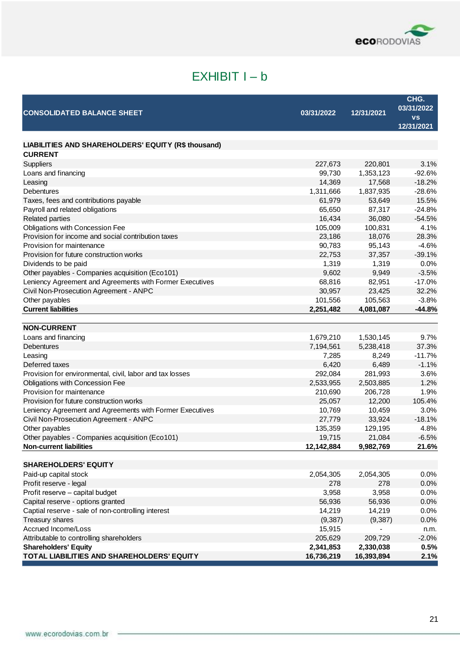

# EXHIBIT I – b

| <b>CONSOLIDATED BALANCE SHEET</b>                                     | 03/31/2022 | 12/31/2021 | CHG.<br>03/31/2022<br><b>VS</b><br>12/31/2021 |
|-----------------------------------------------------------------------|------------|------------|-----------------------------------------------|
|                                                                       |            |            |                                               |
| LIABILITIES AND SHAREHOLDERS' EQUITY (R\$ thousand)<br><b>CURRENT</b> |            |            |                                               |
| Suppliers                                                             | 227,673    | 220,801    | 3.1%                                          |
| Loans and financing                                                   | 99,730     | 1,353,123  | $-92.6%$                                      |
| Leasing                                                               | 14,369     | 17,568     | $-18.2%$                                      |
| <b>Debentures</b>                                                     | 1,311,666  | 1,837,935  | $-28.6%$                                      |
| Taxes, fees and contributions payable                                 | 61,979     | 53,649     | 15.5%                                         |
| Payroll and related obligations                                       | 65,650     | 87,317     | $-24.8%$                                      |
| <b>Related parties</b>                                                | 16,434     | 36,080     | $-54.5%$                                      |
| Obligations with Concession Fee                                       | 105,009    | 100,831    | 4.1%                                          |
| Provision for income and social contribution taxes                    | 23,186     | 18,076     | 28.3%                                         |
| Provision for maintenance                                             | 90,783     | 95,143     | $-4.6%$                                       |
| Provision for future construction works                               | 22,753     | 37,357     | $-39.1%$                                      |
| Dividends to be paid                                                  | 1,319      | 1,319      | 0.0%                                          |
| Other payables - Companies acquisition (Eco101)                       | 9,602      | 9,949      | $-3.5%$                                       |
| Leniency Agreement and Agreements with Former Executives              | 68,816     | 82,951     | $-17.0%$                                      |
| Civil Non-Prosecution Agreement - ANPC                                | 30,957     | 23,425     | 32.2%                                         |
| Other payables                                                        | 101,556    | 105,563    | $-3.8%$                                       |
| <b>Current liabilities</b>                                            | 2,251,482  | 4,081,087  | $-44.8%$                                      |
|                                                                       |            |            |                                               |
| <b>NON-CURRENT</b>                                                    |            |            |                                               |
| Loans and financing                                                   | 1,679,210  | 1,530,145  | 9.7%                                          |
| <b>Debentures</b>                                                     | 7,194,561  | 5,238,418  | 37.3%                                         |
| Leasing                                                               | 7,285      | 8,249      | $-11.7%$                                      |
| Deferred taxes                                                        | 6,420      | 6,489      | $-1.1%$                                       |
| Provision for environmental, civil, labor and tax losses              | 292,084    | 281,993    | 3.6%                                          |
| Obligations with Concession Fee                                       | 2,533,955  | 2,503,885  | 1.2%                                          |
| Provision for maintenance                                             | 210,690    | 206,728    | 1.9%                                          |
| Provision for future construction works                               | 25,057     | 12,200     | 105.4%                                        |
| Leniency Agreement and Agreements with Former Executives              | 10,769     | 10,459     | 3.0%                                          |
| Civil Non-Prosecution Agreement - ANPC                                | 27,779     | 33,924     | $-18.1%$                                      |
| Other payables                                                        | 135,359    | 129,195    | 4.8%                                          |
| Other payables - Companies acquisition (Eco101)                       | 19,715     | 21,084     | $-6.5%$                                       |
| <b>Non-current liabilities</b>                                        | 12,142,884 | 9,982,769  | 21.6%                                         |
|                                                                       |            |            |                                               |
| <b>SHAREHOLDERS' EQUITY</b>                                           |            |            |                                               |
| Paid-up capital stock                                                 | 2,054,305  | 2,054,305  | 0.0%                                          |
| Profit reserve - legal                                                | 278        | 278        | 0.0%                                          |
| Profit reserve - capital budget                                       | 3,958      | 3,958      | 0.0%                                          |
| Capital reserve - options granted                                     | 56,936     | 56,936     | 0.0%                                          |
| Captial reserve - sale of non-controlling interest                    | 14,219     | 14,219     | 0.0%                                          |
| Treasury shares                                                       | (9, 387)   | (9,387)    | 0.0%                                          |
| Accrued Income/Loss                                                   | 15,915     |            | n.m.                                          |
| Attributable to controlling shareholders                              | 205,629    | 209,729    | $-2.0%$                                       |
| <b>Shareholders' Equity</b>                                           | 2,341,853  | 2,330,038  | 0.5%                                          |
| TOTAL LIABILITIES AND SHAREHOLDERS' EQUITY                            | 16,736,219 | 16,393,894 | 2.1%                                          |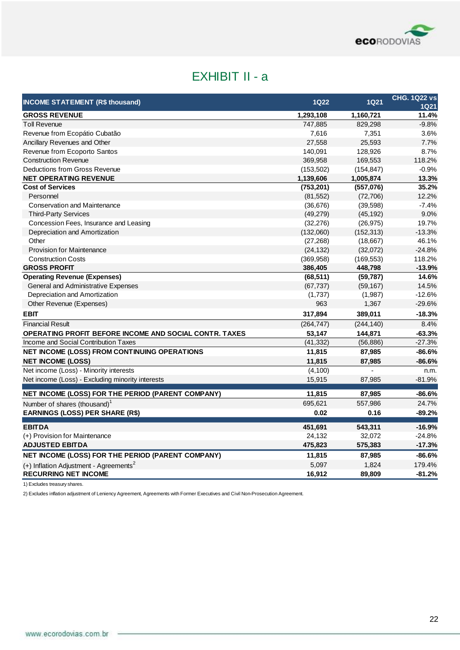

# EXHIBIT II - a

| <b>INCOME STATEMENT (R\$ thousand)</b>                        | <b>1Q22</b> | <b>1Q21</b> | <b>CHG. 1Q22 vs</b><br><b>1Q21</b> |
|---------------------------------------------------------------|-------------|-------------|------------------------------------|
| <b>GROSS REVENUE</b>                                          | 1,293,108   | 1,160,721   | 11.4%                              |
| <b>Toll Revenue</b>                                           | 747,885     | 829,298     | $-9.8%$                            |
| Revenue from Ecopátio Cubatão                                 | 7,616       | 7,351       | 3.6%                               |
| Ancillary Revenues and Other                                  | 27,558      | 25,593      | 7.7%                               |
| Revenue from Ecoporto Santos                                  | 140,091     | 128,926     | 8.7%                               |
| <b>Construction Revenue</b>                                   | 369,958     | 169,553     | 118.2%                             |
| Deductions from Gross Revenue                                 | (153, 502)  | (154, 847)  | $-0.9%$                            |
| <b>NET OPERATING REVENUE</b>                                  | 1,139,606   | 1,005,874   | 13.3%                              |
| <b>Cost of Services</b>                                       | (753, 201)  | (557,076)   | 35.2%                              |
| Personnel                                                     | (81, 552)   | (72, 706)   | 12.2%                              |
| <b>Conservation and Maintenance</b>                           | (36, 676)   | (39, 598)   | $-7.4%$                            |
| <b>Third-Party Services</b>                                   | (49, 279)   | (45, 192)   | 9.0%                               |
| Concession Fees, Insurance and Leasing                        | (32, 276)   | (26, 975)   | 19.7%                              |
| Depreciation and Amortization                                 | (132,060)   | (152, 313)  | $-13.3%$                           |
| Other                                                         | (27, 268)   | (18, 667)   | 46.1%                              |
| <b>Provision for Maintenance</b>                              | (24, 132)   | (32,072)    | $-24.8%$                           |
| <b>Construction Costs</b>                                     | (369, 958)  | (169, 553)  | 118.2%                             |
| <b>GROSS PROFIT</b>                                           | 386,405     | 448,798     | $-13.9%$                           |
| <b>Operating Revenue (Expenses)</b>                           | (68, 511)   | (59, 787)   | 14.6%                              |
| <b>General and Administrative Expenses</b>                    | (67, 737)   | (59, 167)   | 14.5%                              |
| Depreciation and Amortization                                 | (1,737)     | (1,987)     | $-12.6%$                           |
| Other Revenue (Expenses)                                      | 963         | 1,367       | $-29.6%$                           |
| <b>EBIT</b>                                                   | 317,894     | 389,011     | $-18.3%$                           |
| <b>Financial Result</b>                                       | (264, 747)  | (244, 140)  | 8.4%                               |
| <b>OPERATING PROFIT BEFORE INCOME AND SOCIAL CONTR. TAXES</b> | 53,147      | 144,871     | $-63.3%$                           |
| Income and Social Contribution Taxes                          | (41, 332)   | (56, 886)   | $-27.3%$                           |
| NET INCOME (LOSS) FROM CONTINUING OPERATIONS                  | 11,815      | 87,985      | $-86.6%$                           |
| <b>NET INCOME (LOSS)</b>                                      | 11,815      | 87,985      | $-86.6%$                           |
| Net income (Loss) - Minority interests                        | (4, 100)    |             | n.m.                               |
| Net income (Loss) - Excluding minority interests              | 15,915      | 87,985      | -81.9%                             |
| NET INCOME (LOSS) FOR THE PERIOD (PARENT COMPANY)             | 11,815      | 87,985      | $-86.6%$                           |
| Number of shares (thousand) <sup>1</sup>                      | 695,621     | 557,986     | 24.7%                              |
| <b>EARNINGS (LOSS) PER SHARE (R\$)</b>                        | 0.02        | 0.16        | $-89.2%$                           |
| <b>EBITDA</b>                                                 | 451,691     | 543,311     | $-16.9%$                           |
| (+) Provision for Maintenance                                 | 24,132      | 32,072      | $-24.8%$                           |
| <b>ADJUSTED EBITDA</b>                                        | 475,823     | 575,383     | $-17.3%$                           |
| NET INCOME (LOSS) FOR THE PERIOD (PARENT COMPANY)             | 11,815      | 87,985      | $-86.6%$                           |
| $(+)$ Inflation Adjustment - Agreements <sup>2</sup>          | 5,097       | 1,824       | 179.4%                             |
| <b>RECURRING NET INCOME</b>                                   | 16,912      | 89,809      | $-81.2%$                           |

1) Excludes treasury shares.

2) Excludes inflation adjustment of Leniency Agreement, Agreements with Former Executives and Civil Non-Prosecution Agreement.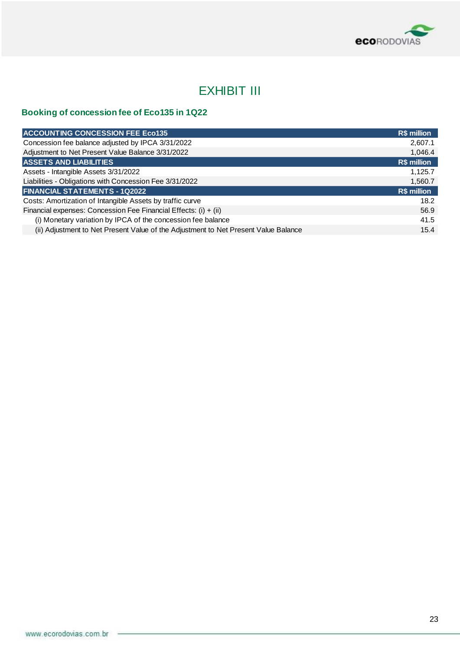

## EXHIBIT III

## **Booking of concession fee of Eco135 in 1Q22**

| <b>ACCOUNTING CONCESSION FEE Eco135</b>                                             | R\$ million |
|-------------------------------------------------------------------------------------|-------------|
| Concession fee balance adjusted by IPCA 3/31/2022                                   | 2,607.1     |
| Adjustment to Net Present Value Balance 3/31/2022                                   | 1,046.4     |
| <b>ASSETS AND LIABILITIES</b>                                                       | R\$ million |
| Assets - Intangible Assets 3/31/2022                                                | 1,125.7     |
| Liabilities - Obligations with Concession Fee 3/31/2022                             | 1,560.7     |
| <b>FINANCIAL STATEMENTS - 1Q2022</b>                                                | R\$ million |
| Costs: Amortization of Intangible Assets by traffic curve                           | 18.2        |
| Financial expenses: Concession Fee Financial Effects: (i) + (ii)                    | 56.9        |
| (i) Monetary variation by IPCA of the concession fee balance                        | 41.5        |
| (ii) Adjustment to Net Present Value of the Adjustment to Net Present Value Balance | 15.4        |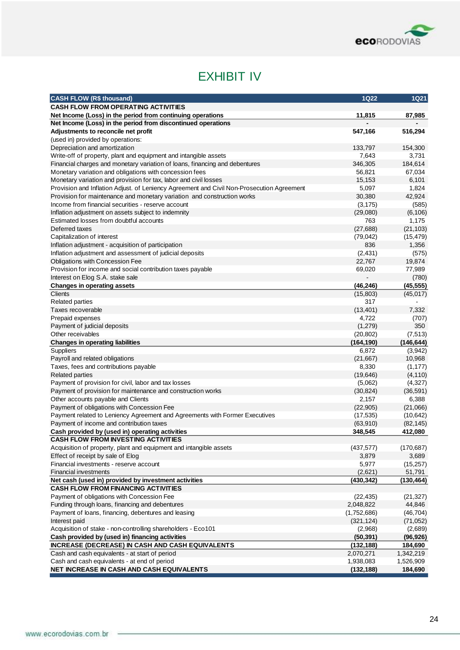

## EXHIBIT IV

| <b>CASH FLOW (R\$ thousand)</b>                                                           | <b>1Q22</b> | <b>1Q21</b> |
|-------------------------------------------------------------------------------------------|-------------|-------------|
| <b>CASH FLOW FROM OPERATING ACTIVITIES</b>                                                |             |             |
| Net Income (Loss) in the period from continuing operations                                | 11,815      | 87,985      |
| Net Income (Loss) in the period from discontinued operations                              |             |             |
| Adjustments to reconcile net profit                                                       | 547,166     | 516,294     |
| (used in) provided by operations:                                                         |             |             |
| Depreciation and amortization                                                             | 133,797     | 154,300     |
| Write-off of property, plant and equipment and intangible assets                          | 7,643       | 3,731       |
| Financial charges and monetary variation of loans, financing and debentures               | 346,305     | 184,614     |
| Monetary variation and obligations with concession fees                                   | 56,821      | 67,034      |
| Monetary variation and provision for tax, labor and civil losses                          | 15,153      | 6,101       |
| Provision and Inflation Adjust. of Leniency Agreement and Civil Non-Prosecution Agreement | 5,097       | 1,824       |
| Provision for maintenance and monetary variation and construction works                   | 30,380      | 42,924      |
| Income from financial securities - reserve account                                        | (3, 175)    | (585)       |
| Inflation adjustment on assets subject to indemnity                                       | (29,080)    | (6, 106)    |
| Estimated losses from doubtful accounts                                                   | 763         | 1,175       |
| Deferred taxes                                                                            | (27, 688)   | (21, 103)   |
| Capitalization of interest                                                                | (79, 042)   | (15, 479)   |
| Inflation adjustment - acquisition of participation                                       | 836         | 1,356       |
| Inflation adjustment and assessment of judicial deposits                                  | (2,431)     | (575)       |
| <b>Obligations with Concession Fee</b>                                                    | 22,767      | 19,874      |
| Provision for income and social contribution taxes payable                                | 69,020      | 77,989      |
| Interest on Elog S.A. stake sale                                                          |             | (780)       |
| <b>Changes in operating assets</b>                                                        | (46, 246)   | (45, 555)   |
| <b>Clients</b>                                                                            | (15, 803)   | (45, 017)   |
| <b>Related parties</b>                                                                    | 317         |             |
| Taxes recoverable                                                                         | (13, 401)   | 7,332       |
| Prepaid expenses                                                                          | 4,722       | (707)       |
| Payment of judicial deposits                                                              | (1,279)     | 350         |
| Other receivables                                                                         | (20, 802)   | (7, 513)    |
| <b>Changes in operating liabilities</b>                                                   | (164, 190)  | (146, 644)  |
| Suppliers                                                                                 | 6,872       | (3,942)     |
| Payroll and related obligations                                                           | (21, 667)   | 10,968      |
| Taxes, fees and contributions payable                                                     | 8,330       | (1, 177)    |
| <b>Related parties</b>                                                                    | (19, 646)   | (4, 110)    |
| Payment of provision for civil, labor and tax losses                                      | (5,062)     | (4,327)     |
| Payment of provision for maintenance and construction works                               | (30, 824)   | (36, 591)   |
| Other accounts payable and Clients                                                        | 2,157       | 6,388       |
| Payment of obligations with Concession Fee                                                | (22, 905)   | (21,066)    |
| Payment related to Leniency Agreement and Agreements with Former Executives               | (17, 535)   | (10, 642)   |
| Payment of income and contribution taxes                                                  | (63,910)    | (82, 145)   |
| Cash provided by (used in) operating activities                                           | 348,545     | 412,080     |
| <b>CASH FLOW FROM INVESTING ACTIVITIES</b>                                                |             |             |
|                                                                                           |             |             |
| Acquisition of property, plant and equipment and intangible assets                        | (437, 577)  | (170, 687)  |
| Effect of receipt by sale of Elog                                                         | 3,879       | 3,689       |
| Financial investments - reserve account                                                   | 5,977       | (15, 257)   |
| <b>Financial investments</b>                                                              | (2,621)     | 51,791      |
| Net cash (used in) provided by investment activities                                      | (430, 342)  | (130, 464)  |
| <b>CASH FLOW FROM FINANCING ACTIVITIES</b>                                                |             |             |
| Payment of obligations with Concession Fee                                                | (22, 435)   | (21, 327)   |
| Funding through loans, financing and debentures                                           | 2,048,822   | 44,846      |
| Payment of loans, financing, debentures and leasing                                       | (1,752,686) | (46, 704)   |
| Interest paid                                                                             | (321, 124)  | (71, 052)   |
| Acquisition of stake - non-controlling shareholders - Eco101                              | (2,968)     | (2,689)     |
| Cash provided by (used in) financing activities                                           | (50, 391)   | (96, 926)   |
| <b>INCREASE (DECREASE) IN CASH AND CASH EQUIVALENTS</b>                                   | (132, 188)  | 184,690     |
| Cash and cash equivalents - at start of period                                            | 2,070,271   | 1,342,219   |
| Cash and cash equivalents - at end of period                                              | 1,938,083   | 1,526,909   |
| NET INCREASE IN CASH AND CASH EQUIVALENTS                                                 | (132, 188)  | 184,690     |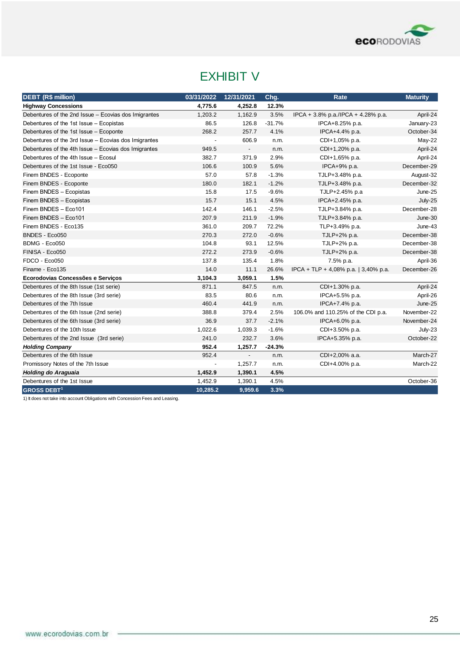

## EXHIBIT V

| <b>DEBT (R\$ million)</b>                            | 03/31/2022     | 12/31/2021               | Chg.     | Rate                                 | <b>Maturity</b> |
|------------------------------------------------------|----------------|--------------------------|----------|--------------------------------------|-----------------|
| <b>Highway Concessions</b>                           | 4,775.6        | 4,252.8                  | 12.3%    |                                      |                 |
| Debentures of the 2nd Issue - Ecovias dos Imigrantes | 1,203.2        | 1,162.9                  | 3.5%     | IPCA + 3.8% p.a./IPCA + 4.28% p.a.   | April-24        |
| Debentures of the 1st Issue - Ecopistas              | 86.5           | 126.8                    | $-31.7%$ | IPCA+8.25% p.a.                      | January-23      |
| Debentures of the 1st Issue - Ecoponte               | 268.2          | 257.7                    | 4.1%     | IPCA+4.4% p.a.                       | October-34      |
| Debentures of the 3rd Issue - Ecovias dos Imigrantes | $\blacksquare$ | 606.9                    | n.m.     | CDI+1,05% p.a.                       | May-22          |
| Debentures of the 4th Issue - Ecovias dos Imigrantes | 949.5          | $\overline{\phantom{a}}$ | n.m.     | CDI+1,20% p.a.                       | April-24        |
| Debentures of the 4th Issue - Ecosul                 | 382.7          | 371.9                    | 2.9%     | CDI+1,65% p.a.                       | April-24        |
| Debentures of the 1st Issue - Eco050                 | 106.6          | 100.9                    | 5.6%     | $IPCA+9% p.a.$                       | December-29     |
| Finem BNDES - Ecoponte                               | 57.0           | 57.8                     | $-1.3%$  | TJLP+3.48% p.a.                      | August-32       |
| Finem BNDES - Ecoponte                               | 180.0          | 182.1                    | $-1.2%$  | TJLP+3.48% p.a.                      | December-32     |
| Finem BNDES - Ecopistas                              | 15.8           | 17.5                     | $-9.6%$  | TJLP+2.45% p.a                       | June-25         |
| Finem BNDES - Ecopistas                              | 15.7           | 15.1                     | 4.5%     | IPCA+2.45% p.a.                      | July-25         |
| Finem BNDES - Eco101                                 | 142.4          | 146.1                    | $-2.5%$  | TJLP+3.84% p.a.                      | December-28     |
| Finem BNDES - Eco101                                 | 207.9          | 211.9                    | $-1.9%$  | TJLP+3.84% p.a.                      | June-30         |
| Finem BNDES - Eco135                                 | 361.0          | 209.7                    | 72.2%    | TLP+3.49% p.a.                       | June-43         |
| BNDES - Eco050                                       | 270.3          | 272.0                    | $-0.6%$  | TJLP+2% p.a.                         | December-38     |
| BDMG - Eco050                                        | 104.8          | 93.1                     | 12.5%    | TJLP+2% p.a.                         | December-38     |
| FINISA - Eco050                                      | 272.2          | 273.9                    | $-0.6%$  | TJLP+2% p.a.                         | December-38     |
| FDCO - Eco050                                        | 137.8          | 135.4                    | 1.8%     | 7.5% p.a.                            | April-36        |
| Finame - Eco135                                      | 14.0           | 11.1                     | 26.6%    | IPCA + TLP + 4,08% p.a.   3,40% p.a. | December-26     |
| Ecorodovias Concessões e Serviços                    | 3,104.3        | 3,059.1                  | 1.5%     |                                      |                 |
| Debentures of the 8th Issue (1st serie)              | 871.1          | 847.5                    | n.m.     | CDI+1.30% p.a.                       | April-24        |
| Debentures of the 8th Issue (3rd serie)              | 83.5           | 80.6                     | n.m.     | IPCA+5.5% p.a.                       | April-26        |
| Debentures of the 7th Issue                          | 460.4          | 441.9                    | n.m.     | IPCA+7.4% p.a.                       | June-25         |
| Debentures of the 6th Issue (2nd serie)              | 388.8          | 379.4                    | 2.5%     | 106.0% and 110.25% of the CDI p.a.   | November-22     |
| Debentures of the 6th Issue (3rd serie)              | 36.9           | 37.7                     | $-2.1%$  | IPCA+6.0% p.a.                       | November-24     |
| Debentures of the 10th Issue                         | 1,022.6        | 1,039.3                  | $-1.6%$  | CDI+3.50% p.a.                       | July-23         |
| Debentures of the 2nd Issue (3rd serie)              | 241.0          | 232.7                    | 3.6%     | IPCA+5.35% p.a.                      | October-22      |
| <b>Holding Company</b>                               | 952.4          | 1,257.7                  | $-24.3%$ |                                      |                 |
| Debentures of the 6th Issue                          | 952.4          | $\blacksquare$           | n.m.     | CDI+2,00% a.a.                       | March-27        |
| Promissory Notes of the 7th Issue                    |                | 1,257.7                  | n.m.     | CDI+4.00% p.a.                       | March-22        |
| Holding do Araguaia                                  | 1,452.9        | 1,390.1                  | 4.5%     |                                      |                 |
| Debentures of the 1st Issue                          | 1,452.9        | 1,390.1                  | 4.5%     |                                      | October-36      |
| <b>GROSS DEBT<sup>1</sup></b>                        | 10,285.2       | 9,959.6                  | 3.3%     |                                      |                 |

1) It does not take into account Obligations with Concession Fees and Leasing.